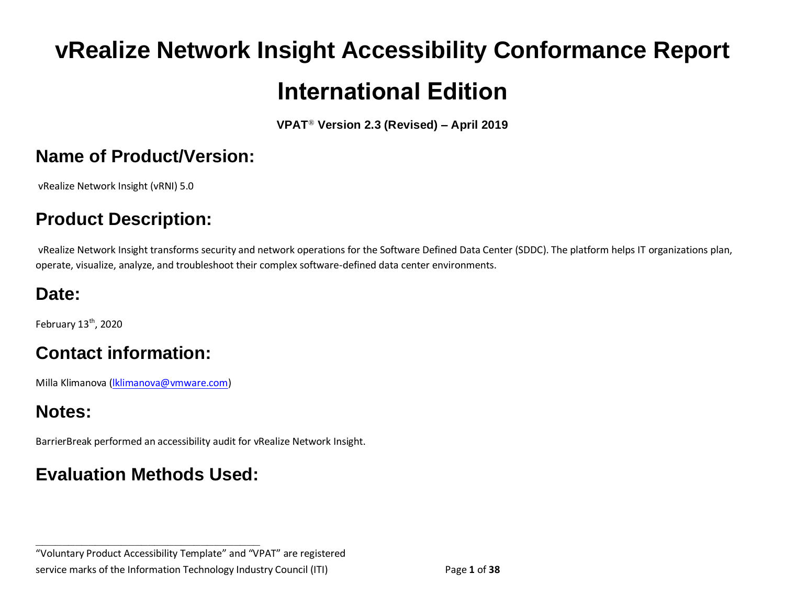# **vRealize Network Insight Accessibility Conformance Report International Edition**

**VPAT**® **Version 2.3 (Revised) – April 2019**

## **Name of Product/Version:**

vRealize Network Insight (vRNI) 5.0

# **Product Description:**

vRealize Network Insight transforms security and network operations for the Software Defined Data Center (SDDC). The platform helps IT organizations plan, operate, visualize, analyze, and troubleshoot their complex software-defined data center environments.

## **Date:**

February 13 th, 2020

# **Contact information:**

Milla Klimanova [\(lklimanova@vmware.com\)](mailto:lklimanova@vmware.com)

# **Notes:**

BarrierBreak performed an accessibility audit for vRealize Network Insight.

# **Evaluation Methods Used:**

**\_\_\_\_\_\_\_\_\_\_\_\_\_\_\_\_\_\_\_\_\_\_\_\_\_\_\_\_\_\_\_\_\_\_**

"Voluntary Product Accessibility Template" and "VPAT" are registered service marks of the Information Technology Industry Council (ITI) Page **1** of **38**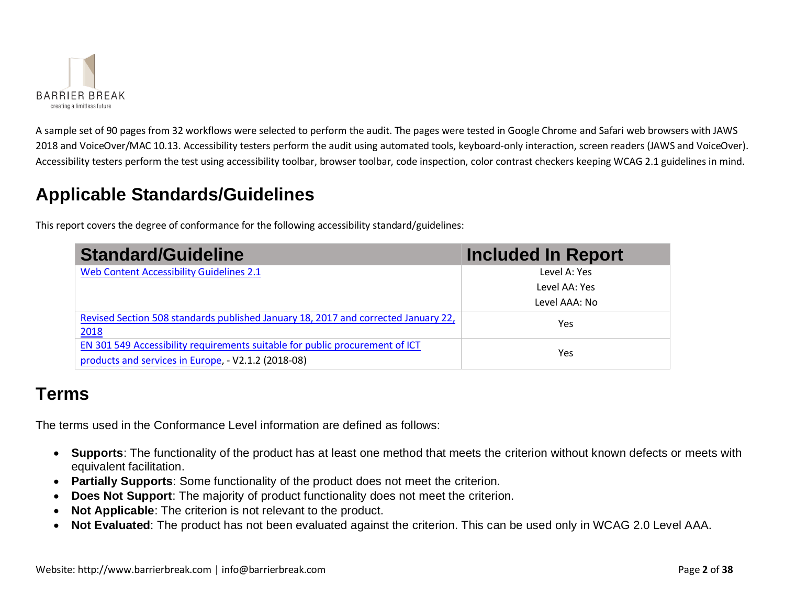

A sample set of 90 pages from 32 workflows were selected to perform the audit. The pages were tested in Google Chrome and Safari web browsers with JAWS 2018 and VoiceOver/MAC 10.13. Accessibility testers perform the audit using automated tools, keyboard-only interaction, screen readers (JAWS and VoiceOver). Accessibility testers perform the test using accessibility toolbar, browser toolbar, code inspection, color contrast checkers keeping WCAG 2.1 guidelines in mind.

## **Applicable Standards/Guidelines**

This report covers the degree of conformance for the following accessibility standard/guidelines:

| <b>Standard/Guideline</b>                                                                                                           | <b>Included In Report</b> |
|-------------------------------------------------------------------------------------------------------------------------------------|---------------------------|
| Web Content Accessibility Guidelines 2.1                                                                                            | Level A: Yes              |
|                                                                                                                                     | Level AA: Yes             |
|                                                                                                                                     | Level AAA: No             |
| Revised Section 508 standards published January 18, 2017 and corrected January 22,<br>2018                                          | Yes                       |
| EN 301 549 Accessibility requirements suitable for public procurement of ICT<br>products and services in Europe, - V2.1.2 (2018-08) | Yes                       |

## **Terms**

The terms used in the Conformance Level information are defined as follows:

- **Supports**: The functionality of the product has at least one method that meets the criterion without known defects or meets with equivalent facilitation.
- **Partially Supports**: Some functionality of the product does not meet the criterion.
- **Does Not Support:** The majority of product functionality does not meet the criterion.
- **Not Applicable**: The criterion is not relevant to the product.
- **Not Evaluated**: The product has not been evaluated against the criterion. This can be used only in WCAG 2.0 Level AAA.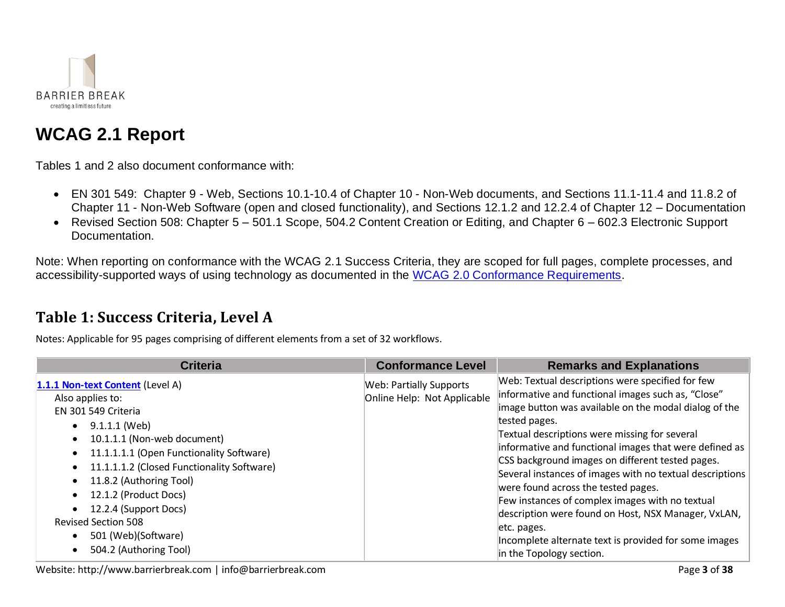

## <span id="page-2-1"></span>**WCAG 2.1 Report**

Tables 1 and 2 also document conformance with:

- EN 301 549: Chapter 9 Web, Sections 10.1-10.4 of Chapter 10 Non-Web documents, and Sections 11.1-11.4 and 11.8.2 of Chapter 11 - Non-Web Software (open and closed functionality), and Sections 12.1.2 and 12.2.4 of Chapter 12 – Documentation
- Revised Section 508: Chapter 5 501.1 Scope, 504.2 Content Creation or Editing, and Chapter 6 602.3 Electronic Support Documentation.

Note: When reporting on conformance with the WCAG 2.1 Success Criteria, they are scoped for full pages, complete processes, and accessibility-supported ways of using technology as documented in the [WCAG 2.0 Conformance Requirements.](https://www.w3.org/TR/WCAG20/#conformance-reqs)

#### **Table 1: Success Criteria, Level A**

Notes: Applicable for 95 pages comprising of different elements from a set of 32 workflows.

<span id="page-2-0"></span>

| <b>Criteria</b>                                                                                                                                                                                                                                                                                                                                                                   | <b>Conformance Level</b>                                      | <b>Remarks and Explanations</b>                                                                                                                                                                                                                                                                                                                                                                                                                                                                                                                                                                                                                                  |
|-----------------------------------------------------------------------------------------------------------------------------------------------------------------------------------------------------------------------------------------------------------------------------------------------------------------------------------------------------------------------------------|---------------------------------------------------------------|------------------------------------------------------------------------------------------------------------------------------------------------------------------------------------------------------------------------------------------------------------------------------------------------------------------------------------------------------------------------------------------------------------------------------------------------------------------------------------------------------------------------------------------------------------------------------------------------------------------------------------------------------------------|
| 1.1.1 Non-text Content (Level A)<br>Also applies to:<br>EN 301 549 Criteria<br>9.1.1.1 (Web)<br>10.1.1.1 (Non-web document)<br>11.1.1.1.1 (Open Functionality Software)<br>11.1.1.1.2 (Closed Functionality Software)<br>11.8.2 (Authoring Tool)<br>12.1.2 (Product Docs)<br>12.2.4 (Support Docs)<br><b>Revised Section 508</b><br>501 (Web)(Software)<br>504.2 (Authoring Tool) | <b>Web: Partially Supports</b><br>Online Help: Not Applicable | Web: Textual descriptions were specified for few<br>informative and functional images such as, "Close"<br>image button was available on the modal dialog of the<br>tested pages.<br>Textual descriptions were missing for several<br>informative and functional images that were defined as<br>CSS background images on different tested pages.<br>Several instances of images with no textual descriptions<br>were found across the tested pages.<br>Few instances of complex images with no textual<br>description were found on Host, NSX Manager, VxLAN,<br>etc. pages.<br>Incomplete alternate text is provided for some images<br>in the Topology section. |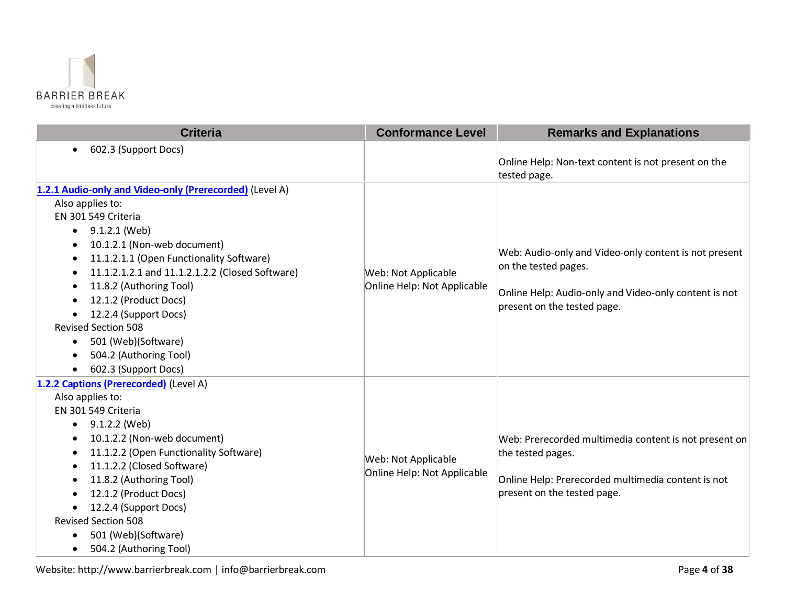

| <b>Criteria</b>                                                                                                                                                                                                                                                                                                                                                                                                                                                 | <b>Conformance Level</b>                           | <b>Remarks and Explanations</b>                                                                                                                                       |
|-----------------------------------------------------------------------------------------------------------------------------------------------------------------------------------------------------------------------------------------------------------------------------------------------------------------------------------------------------------------------------------------------------------------------------------------------------------------|----------------------------------------------------|-----------------------------------------------------------------------------------------------------------------------------------------------------------------------|
| 602.3 (Support Docs)                                                                                                                                                                                                                                                                                                                                                                                                                                            |                                                    | Online Help: Non-text content is not present on the<br>tested page.                                                                                                   |
| 1.2.1 Audio-only and Video-only (Prerecorded) (Level A)<br>Also applies to:<br>EN 301 549 Criteria<br>9.1.2.1 (Web)<br>$\bullet$<br>10.1.2.1 (Non-web document)<br>11.1.2.1.1 (Open Functionality Software)<br>11.1.2.1.2.1 and 11.1.2.1.2.2 (Closed Software)<br>11.8.2 (Authoring Tool)<br>12.1.2 (Product Docs)<br>12.2.4 (Support Docs)<br><b>Revised Section 508</b><br>501 (Web)(Software)<br>$\bullet$<br>504.2 (Authoring Tool)<br>602.3 (Support Docs) | Web: Not Applicable<br>Online Help: Not Applicable | Web: Audio-only and Video-only content is not present<br>on the tested pages.<br>Online Help: Audio-only and Video-only content is not<br>present on the tested page. |
| 1.2.2 Captions (Prerecorded) (Level A)<br>Also applies to:<br>EN 301 549 Criteria<br>9.1.2.2 (Web)<br>10.1.2.2 (Non-web document)<br>11.1.2.2 (Open Functionality Software)<br>11.1.2.2 (Closed Software)<br>11.8.2 (Authoring Tool)<br>12.1.2 (Product Docs)<br>12.2.4 (Support Docs)<br><b>Revised Section 508</b><br>501 (Web)(Software)<br>504.2 (Authoring Tool)                                                                                           | Web: Not Applicable<br>Online Help: Not Applicable | Web: Prerecorded multimedia content is not present on<br>the tested pages.<br>Online Help: Prerecorded multimedia content is not<br>present on the tested page.       |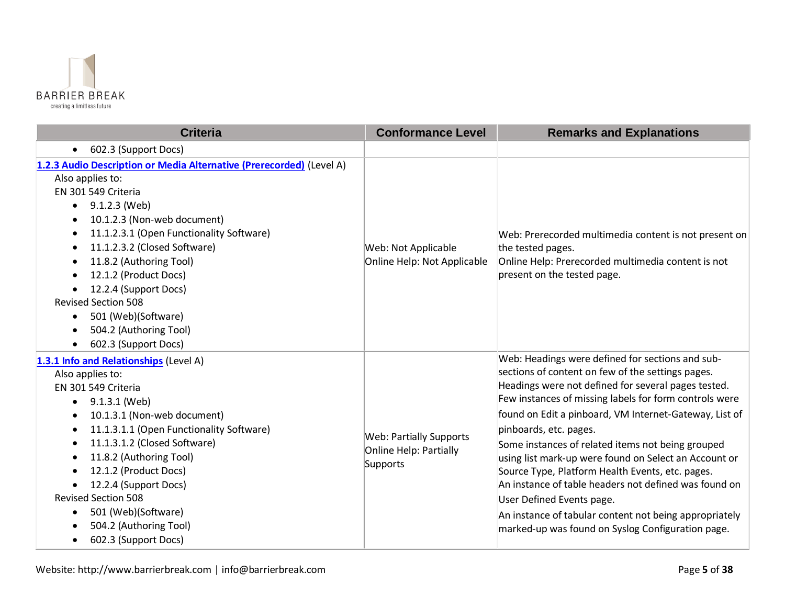

<span id="page-4-0"></span>

| <b>Criteria</b>                                                                                                                                                                                                                                                                                                                                                                                                                                   | <b>Conformance Level</b>                                      | <b>Remarks and Explanations</b>                                                                                                                                                                                                                                                                                                                                                                                                                                                                                                                                                                                                                                                   |
|---------------------------------------------------------------------------------------------------------------------------------------------------------------------------------------------------------------------------------------------------------------------------------------------------------------------------------------------------------------------------------------------------------------------------------------------------|---------------------------------------------------------------|-----------------------------------------------------------------------------------------------------------------------------------------------------------------------------------------------------------------------------------------------------------------------------------------------------------------------------------------------------------------------------------------------------------------------------------------------------------------------------------------------------------------------------------------------------------------------------------------------------------------------------------------------------------------------------------|
| 602.3 (Support Docs)<br>$\bullet$                                                                                                                                                                                                                                                                                                                                                                                                                 |                                                               |                                                                                                                                                                                                                                                                                                                                                                                                                                                                                                                                                                                                                                                                                   |
| 1.2.3 Audio Description or Media Alternative (Prerecorded) (Level A)<br>Also applies to:<br>EN 301 549 Criteria<br>9.1.2.3 (Web)<br>$\bullet$<br>10.1.2.3 (Non-web document)<br>11.1.2.3.1 (Open Functionality Software)<br>11.1.2.3.2 (Closed Software)<br>11.8.2 (Authoring Tool)<br>12.1.2 (Product Docs)<br>12.2.4 (Support Docs)<br><b>Revised Section 508</b><br>501 (Web)(Software)<br>٠<br>504.2 (Authoring Tool)<br>602.3 (Support Docs) | Web: Not Applicable<br>Online Help: Not Applicable            | Web: Prerecorded multimedia content is not present on<br>the tested pages.<br>Online Help: Prerecorded multimedia content is not<br>present on the tested page.                                                                                                                                                                                                                                                                                                                                                                                                                                                                                                                   |
| 1.3.1 Info and Relationships (Level A)<br>Also applies to:<br>EN 301 549 Criteria<br>9.1.3.1 (Web)<br>٠<br>10.1.3.1 (Non-web document)<br>11.1.3.1.1 (Open Functionality Software)<br>٠<br>11.1.3.1.2 (Closed Software)<br>٠<br>11.8.2 (Authoring Tool)<br>12.1.2 (Product Docs)<br>12.2.4 (Support Docs)<br><b>Revised Section 508</b><br>501 (Web)(Software)<br>504.2 (Authoring Tool)<br>602.3 (Support Docs)<br>٠                             | Web: Partially Supports<br>Online Help: Partially<br>Supports | Web: Headings were defined for sections and sub-<br>sections of content on few of the settings pages.<br>Headings were not defined for several pages tested.<br>Few instances of missing labels for form controls were<br>found on Edit a pinboard, VM Internet-Gateway, List of<br>pinboards, etc. pages.<br>Some instances of related items not being grouped<br>using list mark-up were found on Select an Account or<br>Source Type, Platform Health Events, etc. pages.<br>An instance of table headers not defined was found on<br>User Defined Events page.<br>An instance of tabular content not being appropriately<br>marked-up was found on Syslog Configuration page. |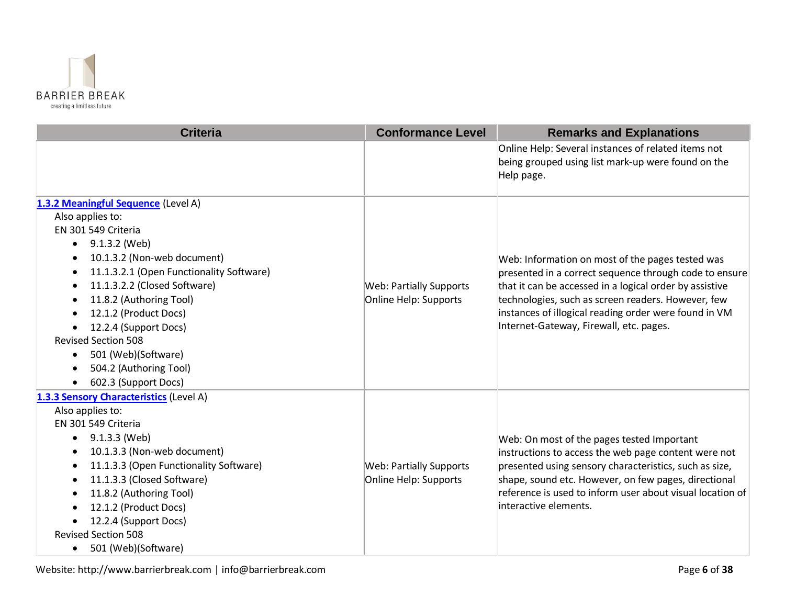

<span id="page-5-1"></span><span id="page-5-0"></span>

| <b>Criteria</b>                                                                                                                                                                                                                                                                                                                                                                                                          | <b>Conformance Level</b>                                | <b>Remarks and Explanations</b>                                                                                                                                                                                                                                                                                                 |
|--------------------------------------------------------------------------------------------------------------------------------------------------------------------------------------------------------------------------------------------------------------------------------------------------------------------------------------------------------------------------------------------------------------------------|---------------------------------------------------------|---------------------------------------------------------------------------------------------------------------------------------------------------------------------------------------------------------------------------------------------------------------------------------------------------------------------------------|
|                                                                                                                                                                                                                                                                                                                                                                                                                          |                                                         | Online Help: Several instances of related items not<br>being grouped using list mark-up were found on the<br>Help page.                                                                                                                                                                                                         |
| 1.3.2 Meaningful Sequence (Level A)<br>Also applies to:<br>EN 301 549 Criteria<br>9.1.3.2 (Web)<br>$\bullet$<br>10.1.3.2 (Non-web document)<br>11.1.3.2.1 (Open Functionality Software)<br>11.1.3.2.2 (Closed Software)<br>11.8.2 (Authoring Tool)<br>12.1.2 (Product Docs)<br>12.2.4 (Support Docs)<br><b>Revised Section 508</b><br>501 (Web)(Software)<br>$\bullet$<br>504.2 (Authoring Tool)<br>602.3 (Support Docs) | <b>Web: Partially Supports</b><br>Online Help: Supports | Web: Information on most of the pages tested was<br>presented in a correct sequence through code to ensure<br>that it can be accessed in a logical order by assistive<br>technologies, such as screen readers. However, few<br>instances of illogical reading order were found in VM<br>Internet-Gateway, Firewall, etc. pages. |
| 1.3.3 Sensory Characteristics (Level A)<br>Also applies to:<br>EN 301 549 Criteria<br>9.1.3.3 (Web)<br>10.1.3.3 (Non-web document)<br>11.1.3.3 (Open Functionality Software)<br>11.1.3.3 (Closed Software)<br>11.8.2 (Authoring Tool)<br>12.1.2 (Product Docs)<br>12.2.4 (Support Docs)<br><b>Revised Section 508</b><br>501 (Web)(Software)<br>$\bullet$                                                                | <b>Web: Partially Supports</b><br>Online Help: Supports | Web: On most of the pages tested Important<br>instructions to access the web page content were not<br>presented using sensory characteristics, such as size,<br>shape, sound etc. However, on few pages, directional<br>reference is used to inform user about visual location of<br>interactive elements.                      |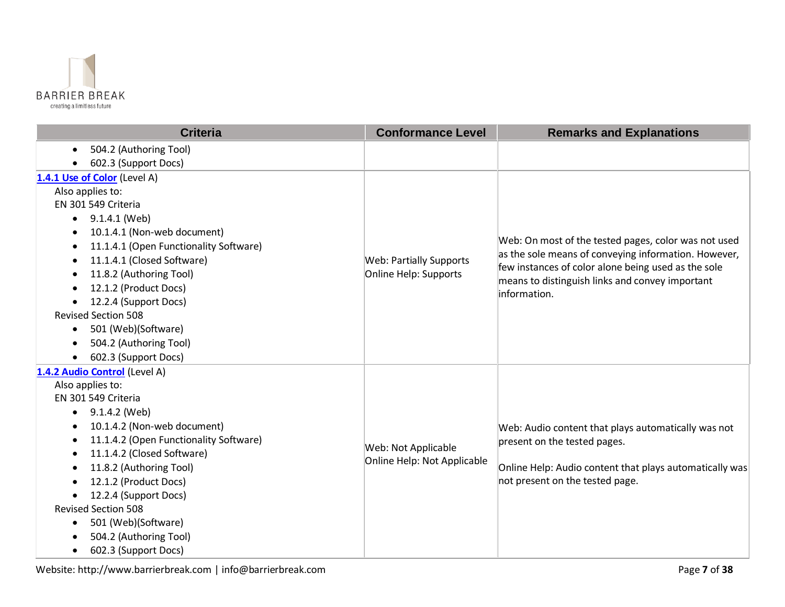

<span id="page-6-0"></span>

| <b>Criteria</b>                             | <b>Conformance Level</b>       | <b>Remarks and Explanations</b>                                                                             |
|---------------------------------------------|--------------------------------|-------------------------------------------------------------------------------------------------------------|
| 504.2 (Authoring Tool)<br>$\bullet$         |                                |                                                                                                             |
| 602.3 (Support Docs)                        |                                |                                                                                                             |
| 1.4.1 Use of Color (Level A)                |                                |                                                                                                             |
| Also applies to:                            |                                |                                                                                                             |
| EN 301 549 Criteria                         |                                |                                                                                                             |
| 9.1.4.1 (Web)<br>٠                          |                                |                                                                                                             |
| 10.1.4.1 (Non-web document)<br>٠            |                                |                                                                                                             |
| 11.1.4.1 (Open Functionality Software)      |                                | Web: On most of the tested pages, color was not used                                                        |
| 11.1.4.1 (Closed Software)                  | <b>Web: Partially Supports</b> | as the sole means of conveying information. However,<br>few instances of color alone being used as the sole |
| 11.8.2 (Authoring Tool)                     | Online Help: Supports          | means to distinguish links and convey important                                                             |
| 12.1.2 (Product Docs)                       |                                | information.                                                                                                |
| 12.2.4 (Support Docs)<br>٠                  |                                |                                                                                                             |
| <b>Revised Section 508</b>                  |                                |                                                                                                             |
| 501 (Web)(Software)<br>٠                    |                                |                                                                                                             |
| 504.2 (Authoring Tool)                      |                                |                                                                                                             |
| 602.3 (Support Docs)                        |                                |                                                                                                             |
| 1.4.2 Audio Control (Level A)               |                                |                                                                                                             |
| Also applies to:                            |                                |                                                                                                             |
| EN 301 549 Criteria                         |                                |                                                                                                             |
| 9.1.4.2 (Web)<br>$\bullet$                  |                                |                                                                                                             |
| 10.1.4.2 (Non-web document)                 |                                | Web: Audio content that plays automatically was not                                                         |
| 11.1.4.2 (Open Functionality Software)<br>٠ | Web: Not Applicable            | present on the tested pages.                                                                                |
| 11.1.4.2 (Closed Software)                  | Online Help: Not Applicable    |                                                                                                             |
| 11.8.2 (Authoring Tool)                     |                                | Online Help: Audio content that plays automatically was                                                     |
| 12.1.2 (Product Docs)                       |                                | not present on the tested page.                                                                             |
| 12.2.4 (Support Docs)                       |                                |                                                                                                             |
| <b>Revised Section 508</b>                  |                                |                                                                                                             |
| 501 (Web)(Software)<br>٠                    |                                |                                                                                                             |
| 504.2 (Authoring Tool)                      |                                |                                                                                                             |
| 602.3 (Support Docs)<br>٠                   |                                |                                                                                                             |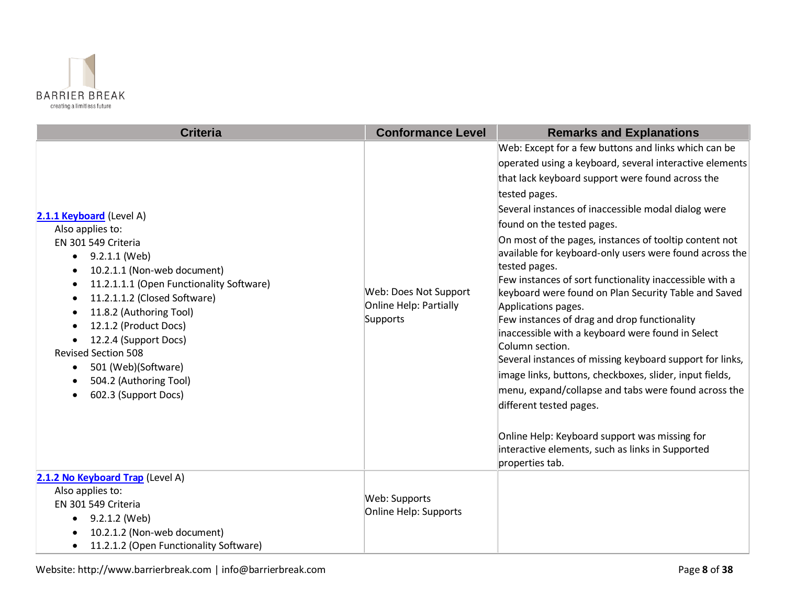

<span id="page-7-0"></span>

| <b>Criteria</b>                                                                                                                                                                                                                                                                                                                                                                                                    | <b>Conformance Level</b>                                    | <b>Remarks and Explanations</b>                                                                                                                                                                                                                                                                                                                                                                                                                                                                                                                                                                                                                                                                                                                                                                                                                                                                                                                                                                                     |
|--------------------------------------------------------------------------------------------------------------------------------------------------------------------------------------------------------------------------------------------------------------------------------------------------------------------------------------------------------------------------------------------------------------------|-------------------------------------------------------------|---------------------------------------------------------------------------------------------------------------------------------------------------------------------------------------------------------------------------------------------------------------------------------------------------------------------------------------------------------------------------------------------------------------------------------------------------------------------------------------------------------------------------------------------------------------------------------------------------------------------------------------------------------------------------------------------------------------------------------------------------------------------------------------------------------------------------------------------------------------------------------------------------------------------------------------------------------------------------------------------------------------------|
| 2.1.1 Keyboard (Level A)<br>Also applies to:<br>EN 301 549 Criteria<br>9.2.1.1 (Web)<br>٠<br>10.2.1.1 (Non-web document)<br>11.2.1.1.1 (Open Functionality Software)<br>11.2.1.1.2 (Closed Software)<br>11.8.2 (Authoring Tool)<br>12.1.2 (Product Docs)<br>12.2.4 (Support Docs)<br>$\bullet$<br><b>Revised Section 508</b><br>501 (Web)(Software)<br>$\bullet$<br>504.2 (Authoring Tool)<br>602.3 (Support Docs) | Web: Does Not Support<br>Online Help: Partially<br>Supports | Web: Except for a few buttons and links which can be<br>operated using a keyboard, several interactive elements<br>that lack keyboard support were found across the<br>tested pages.<br>Several instances of inaccessible modal dialog were<br>found on the tested pages.<br>On most of the pages, instances of tooltip content not<br>available for keyboard-only users were found across the<br>tested pages.<br>Few instances of sort functionality inaccessible with a<br>keyboard were found on Plan Security Table and Saved<br>Applications pages.<br>Few instances of drag and drop functionality<br>inaccessible with a keyboard were found in Select<br>Column section.<br>Several instances of missing keyboard support for links,<br>image links, buttons, checkboxes, slider, input fields,<br>menu, expand/collapse and tabs were found across the<br>different tested pages.<br>Online Help: Keyboard support was missing for<br>interactive elements, such as links in Supported<br>properties tab. |
| 2.1.2 No Keyboard Trap (Level A)<br>Also applies to:<br>EN 301 549 Criteria<br>9.2.1.2 (Web)<br>10.2.1.2 (Non-web document)<br>11.2.1.2 (Open Functionality Software)                                                                                                                                                                                                                                              | Web: Supports<br>Online Help: Supports                      |                                                                                                                                                                                                                                                                                                                                                                                                                                                                                                                                                                                                                                                                                                                                                                                                                                                                                                                                                                                                                     |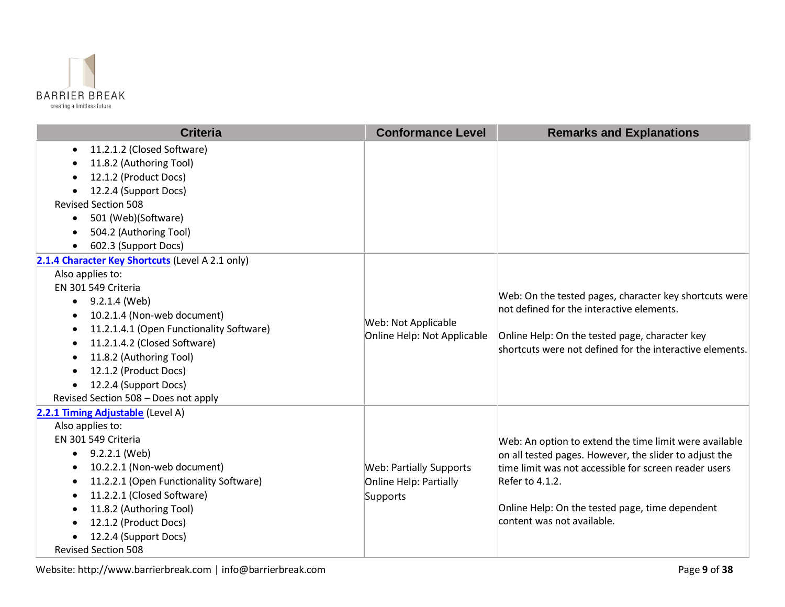

| <b>Criteria</b>                                                                                                                                                                                                                                                                                                                                                     | <b>Conformance Level</b>                                             | <b>Remarks and Explanations</b>                                                                                                                                                                                                                                               |
|---------------------------------------------------------------------------------------------------------------------------------------------------------------------------------------------------------------------------------------------------------------------------------------------------------------------------------------------------------------------|----------------------------------------------------------------------|-------------------------------------------------------------------------------------------------------------------------------------------------------------------------------------------------------------------------------------------------------------------------------|
| 11.2.1.2 (Closed Software)<br>$\bullet$<br>11.8.2 (Authoring Tool)<br>12.1.2 (Product Docs)<br>12.2.4 (Support Docs)<br>$\bullet$<br><b>Revised Section 508</b><br>501 (Web)(Software)<br>$\bullet$<br>504.2 (Authoring Tool)<br>602.3 (Support Docs)                                                                                                               |                                                                      |                                                                                                                                                                                                                                                                               |
| 2.1.4 Character Key Shortcuts (Level A 2.1 only)<br>Also applies to:<br>EN 301 549 Criteria<br>$\bullet$ 9.2.1.4 (Web)<br>10.2.1.4 (Non-web document)<br>11.2.1.4.1 (Open Functionality Software)<br>11.2.1.4.2 (Closed Software)<br>11.8.2 (Authoring Tool)<br>$\bullet$<br>12.1.2 (Product Docs)<br>12.2.4 (Support Docs)<br>Revised Section 508 - Does not apply | Web: Not Applicable<br>Online Help: Not Applicable                   | Web: On the tested pages, character key shortcuts were<br>not defined for the interactive elements.<br>Online Help: On the tested page, character key<br>shortcuts were not defined for the interactive elements.                                                             |
| 2.2.1 Timing Adjustable (Level A)<br>Also applies to:<br>EN 301 549 Criteria<br>9.2.2.1 (Web)<br>$\bullet$<br>10.2.2.1 (Non-web document)<br>11.2.2.1 (Open Functionality Software)<br>11.2.2.1 (Closed Software)<br>$\bullet$<br>11.8.2 (Authoring Tool)<br>12.1.2 (Product Docs)<br>12.2.4 (Support Docs)<br><b>Revised Section 508</b>                           | <b>Web: Partially Supports</b><br>Online Help: Partially<br>Supports | Web: An option to extend the time limit were available<br>on all tested pages. However, the slider to adjust the<br>time limit was not accessible for screen reader users<br>Refer to 4.1.2.<br>Online Help: On the tested page, time dependent<br>content was not available. |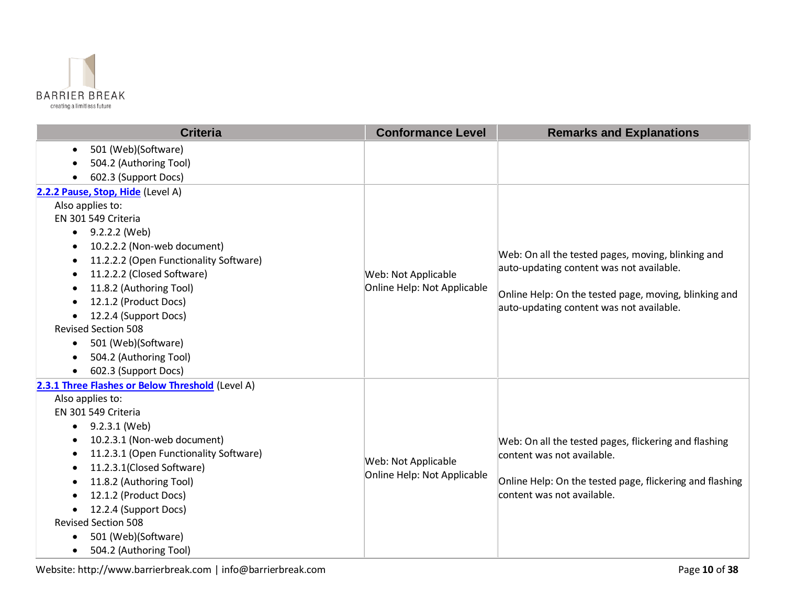

| <b>Criteria</b>                                                                                                                                                                                                                                                                                                                                                                                                    | <b>Conformance Level</b>                           | <b>Remarks and Explanations</b>                                                                                                                                                                     |
|--------------------------------------------------------------------------------------------------------------------------------------------------------------------------------------------------------------------------------------------------------------------------------------------------------------------------------------------------------------------------------------------------------------------|----------------------------------------------------|-----------------------------------------------------------------------------------------------------------------------------------------------------------------------------------------------------|
| 501 (Web)(Software)<br>$\bullet$<br>504.2 (Authoring Tool)<br>602.3 (Support Docs)                                                                                                                                                                                                                                                                                                                                 |                                                    |                                                                                                                                                                                                     |
|                                                                                                                                                                                                                                                                                                                                                                                                                    |                                                    |                                                                                                                                                                                                     |
| 2.2.2 Pause, Stop, Hide (Level A)<br>Also applies to:<br>EN 301 549 Criteria<br>9.2.2.2 (Web)<br>$\bullet$<br>10.2.2.2 (Non-web document)<br>11.2.2.2 (Open Functionality Software)<br>11.2.2.2 (Closed Software)<br>11.8.2 (Authoring Tool)<br>12.1.2 (Product Docs)<br>12.2.4 (Support Docs)<br><b>Revised Section 508</b><br>501 (Web)(Software)<br>$\bullet$<br>504.2 (Authoring Tool)<br>602.3 (Support Docs) | Web: Not Applicable<br>Online Help: Not Applicable | Web: On all the tested pages, moving, blinking and<br>auto-updating content was not available.<br>Online Help: On the tested page, moving, blinking and<br>auto-updating content was not available. |
| 2.3.1 Three Flashes or Below Threshold (Level A)<br>Also applies to:<br>EN 301 549 Criteria<br>9.2.3.1 (Web)<br>10.2.3.1 (Non-web document)<br>11.2.3.1 (Open Functionality Software)<br>11.2.3.1(Closed Software)<br>11.8.2 (Authoring Tool)<br>12.1.2 (Product Docs)<br>12.2.4 (Support Docs)<br><b>Revised Section 508</b><br>501 (Web)(Software)<br>504.2 (Authoring Tool)                                     | Web: Not Applicable<br>Online Help: Not Applicable | Web: On all the tested pages, flickering and flashing<br>content was not available.<br>Online Help: On the tested page, flickering and flashing<br>content was not available.                       |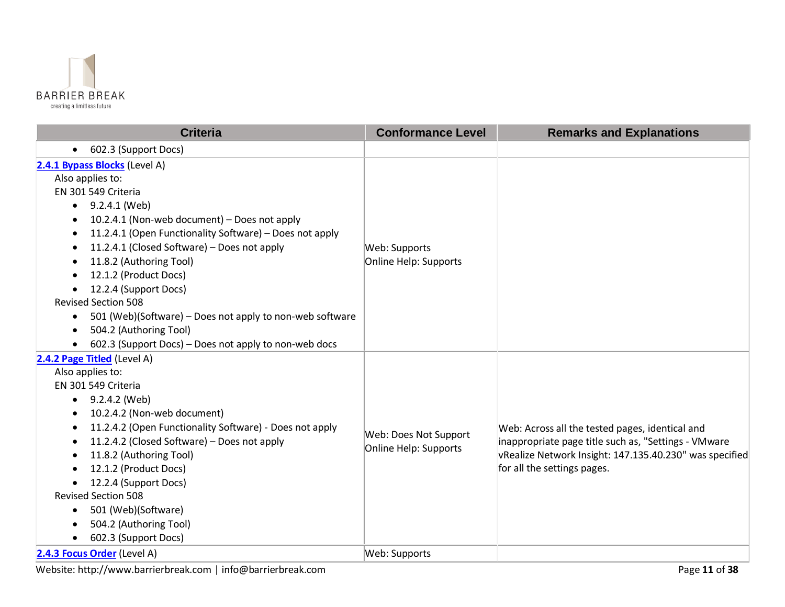

| <b>Criteria</b>                                                       | <b>Conformance Level</b> | <b>Remarks and Explanations</b>                         |
|-----------------------------------------------------------------------|--------------------------|---------------------------------------------------------|
| 602.3 (Support Docs)<br>$\bullet$                                     |                          |                                                         |
| 2.4.1 Bypass Blocks (Level A)                                         |                          |                                                         |
| Also applies to:                                                      |                          |                                                         |
| EN 301 549 Criteria                                                   |                          |                                                         |
| 9.2.4.1 (Web)<br>$\bullet$                                            |                          |                                                         |
| 10.2.4.1 (Non-web document) - Does not apply<br>$\bullet$             |                          |                                                         |
| 11.2.4.1 (Open Functionality Software) - Does not apply<br>٠          |                          |                                                         |
| 11.2.4.1 (Closed Software) - Does not apply<br>$\bullet$              | Web: Supports            |                                                         |
| 11.8.2 (Authoring Tool)<br>$\bullet$                                  | Online Help: Supports    |                                                         |
| 12.1.2 (Product Docs)<br>$\bullet$                                    |                          |                                                         |
| 12.2.4 (Support Docs)                                                 |                          |                                                         |
| <b>Revised Section 508</b>                                            |                          |                                                         |
| 501 (Web)(Software) – Does not apply to non-web software<br>$\bullet$ |                          |                                                         |
| 504.2 (Authoring Tool)<br>$\bullet$                                   |                          |                                                         |
| 602.3 (Support Docs) – Does not apply to non-web docs<br>$\bullet$    |                          |                                                         |
| 2.4.2 Page Titled (Level A)                                           |                          |                                                         |
| Also applies to:                                                      |                          |                                                         |
| EN 301 549 Criteria                                                   |                          |                                                         |
| 9.2.4.2 (Web)<br>$\bullet$                                            |                          |                                                         |
| 10.2.4.2 (Non-web document)<br>$\bullet$                              |                          |                                                         |
| 11.2.4.2 (Open Functionality Software) - Does not apply<br>٠          | Web: Does Not Support    | Web: Across all the tested pages, identical and         |
| 11.2.4.2 (Closed Software) - Does not apply<br>$\bullet$              | Online Help: Supports    | inappropriate page title such as, "Settings - VMware    |
| 11.8.2 (Authoring Tool)<br>$\bullet$                                  |                          | vRealize Network Insight: 147.135.40.230" was specified |
| 12.1.2 (Product Docs)<br>$\bullet$                                    |                          | for all the settings pages.                             |
| 12.2.4 (Support Docs)<br>$\bullet$                                    |                          |                                                         |
| <b>Revised Section 508</b>                                            |                          |                                                         |
| 501 (Web)(Software)<br>٠                                              |                          |                                                         |
| 504.2 (Authoring Tool)<br>$\bullet$                                   |                          |                                                         |
| 602.3 (Support Docs)<br>$\bullet$                                     |                          |                                                         |
| 2.4.3 Focus Order (Level A)                                           | Web: Supports            |                                                         |

Website: http://www.barrierbreak.com | info@barrierbreak.com **Page 11** of **38** Page **11** of **38**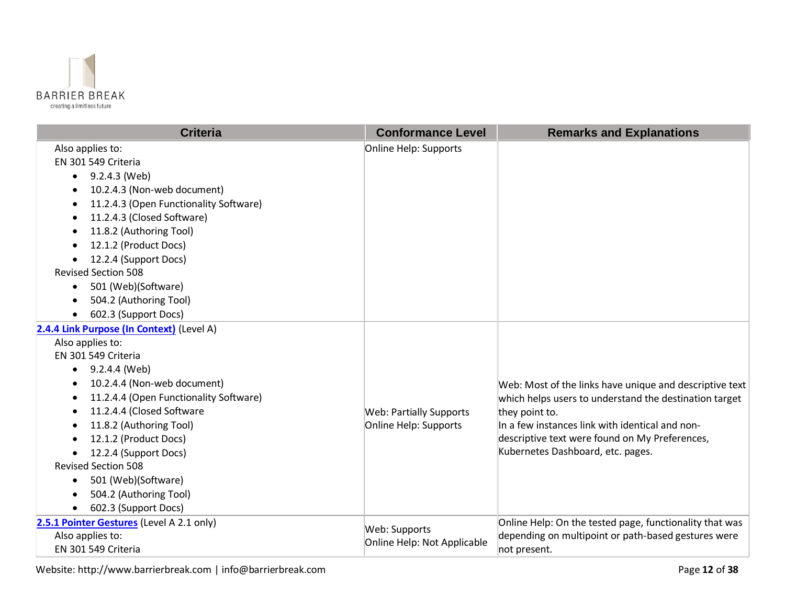

<span id="page-11-0"></span>

| <b>Criteria</b>                                     | <b>Conformance Level</b>       | <b>Remarks and Explanations</b>                         |
|-----------------------------------------------------|--------------------------------|---------------------------------------------------------|
| Also applies to:                                    | Online Help: Supports          |                                                         |
| EN 301 549 Criteria                                 |                                |                                                         |
| 9.2.4.3 (Web)<br>$\bullet$                          |                                |                                                         |
| 10.2.4.3 (Non-web document)                         |                                |                                                         |
| 11.2.4.3 (Open Functionality Software)              |                                |                                                         |
| 11.2.4.3 (Closed Software)                          |                                |                                                         |
| 11.8.2 (Authoring Tool)<br>٠                        |                                |                                                         |
| 12.1.2 (Product Docs)                               |                                |                                                         |
| 12.2.4 (Support Docs)                               |                                |                                                         |
| <b>Revised Section 508</b>                          |                                |                                                         |
| 501 (Web)(Software)                                 |                                |                                                         |
| 504.2 (Authoring Tool)                              |                                |                                                         |
| 602.3 (Support Docs)                                |                                |                                                         |
| 2.4.4 Link Purpose (In Context) (Level A)           |                                |                                                         |
| Also applies to:                                    |                                |                                                         |
| EN 301 549 Criteria                                 |                                |                                                         |
| 9.2.4.4 (Web)<br>$\bullet$                          |                                |                                                         |
| 10.2.4.4 (Non-web document)                         |                                | Web: Most of the links have unique and descriptive text |
| 11.2.4.4 (Open Functionality Software)<br>$\bullet$ |                                | which helps users to understand the destination target  |
| 11.2.4.4 (Closed Software                           | <b>Web: Partially Supports</b> | they point to.                                          |
| 11.8.2 (Authoring Tool)                             | Online Help: Supports          | In a few instances link with identical and non-         |
| 12.1.2 (Product Docs)                               |                                | descriptive text were found on My Preferences,          |
| 12.2.4 (Support Docs)                               |                                | Kubernetes Dashboard, etc. pages.                       |
| <b>Revised Section 508</b>                          |                                |                                                         |
| 501 (Web)(Software)<br>$\bullet$                    |                                |                                                         |
| 504.2 (Authoring Tool)                              |                                |                                                         |
| 602.3 (Support Docs)                                |                                |                                                         |
| 2.5.1 Pointer Gestures (Level A 2.1 only)           | Web: Supports                  | Online Help: On the tested page, functionality that was |
| Also applies to:                                    | Online Help: Not Applicable    | depending on multipoint or path-based gestures were     |
| EN 301 549 Criteria                                 |                                | not present.                                            |

Website: http://www.barrierbreak.com | info@barrierbreak.com **Page 12** of **38** Page 12 of **38**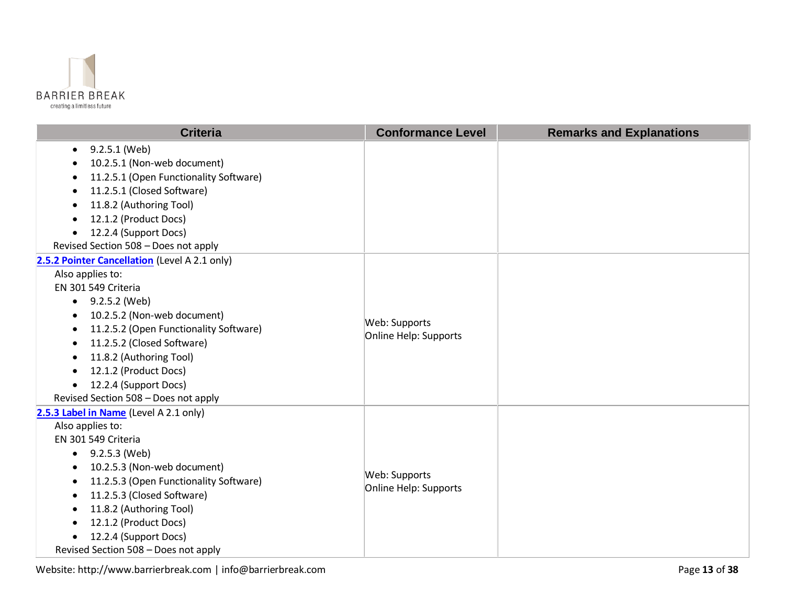

| <b>Criteria</b>                                                                                                                                                                                                                                                                                                                                       | <b>Conformance Level</b>               | <b>Remarks and Explanations</b> |
|-------------------------------------------------------------------------------------------------------------------------------------------------------------------------------------------------------------------------------------------------------------------------------------------------------------------------------------------------------|----------------------------------------|---------------------------------|
| 9.2.5.1 (Web)<br>$\bullet$<br>10.2.5.1 (Non-web document)<br>11.2.5.1 (Open Functionality Software)<br>11.2.5.1 (Closed Software)<br>$\bullet$<br>11.8.2 (Authoring Tool)<br>12.1.2 (Product Docs)<br>12.2.4 (Support Docs)<br>Revised Section 508 - Does not apply                                                                                   |                                        |                                 |
| 2.5.2 Pointer Cancellation (Level A 2.1 only)<br>Also applies to:<br>EN 301 549 Criteria<br>$\bullet$ 9.2.5.2 (Web)<br>10.2.5.2 (Non-web document)<br>11.2.5.2 (Open Functionality Software)<br>٠<br>11.2.5.2 (Closed Software)<br>11.8.2 (Authoring Tool)<br>12.1.2 (Product Docs)<br>12.2.4 (Support Docs)<br>Revised Section 508 - Does not apply  | Web: Supports<br>Online Help: Supports |                                 |
| 2.5.3 Label in Name (Level A 2.1 only)<br>Also applies to:<br>EN 301 549 Criteria<br>9.2.5.3 (Web)<br>10.2.5.3 (Non-web document)<br>$\bullet$<br>11.2.5.3 (Open Functionality Software)<br>٠<br>11.2.5.3 (Closed Software)<br>٠<br>11.8.2 (Authoring Tool)<br>12.1.2 (Product Docs)<br>12.2.4 (Support Docs)<br>Revised Section 508 - Does not apply | Web: Supports<br>Online Help: Supports |                                 |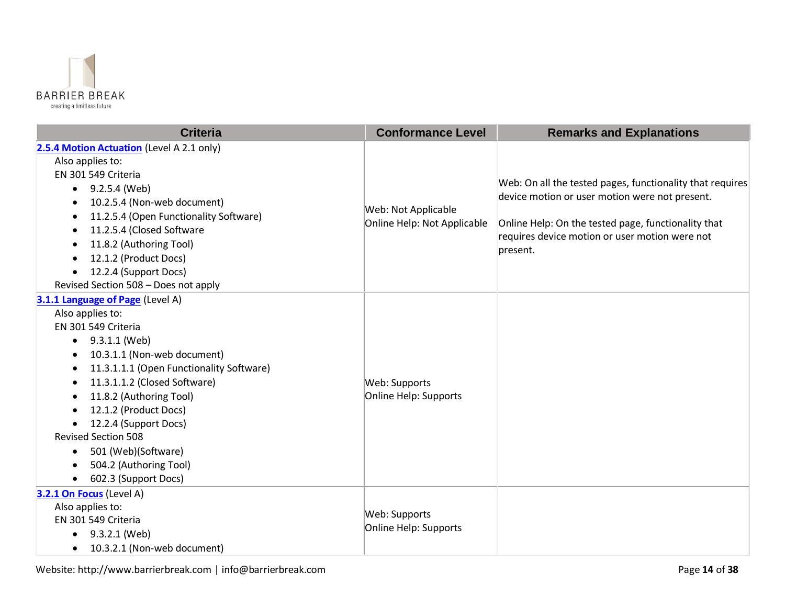

| <b>Criteria</b>                                                                                                                                                                                                                                                                                                                                                                                                                                                                             | <b>Conformance Level</b>                           | <b>Remarks and Explanations</b>                                                                                                                                                                                                  |
|---------------------------------------------------------------------------------------------------------------------------------------------------------------------------------------------------------------------------------------------------------------------------------------------------------------------------------------------------------------------------------------------------------------------------------------------------------------------------------------------|----------------------------------------------------|----------------------------------------------------------------------------------------------------------------------------------------------------------------------------------------------------------------------------------|
| 2.5.4 Motion Actuation (Level A 2.1 only)<br>Also applies to:<br>EN 301 549 Criteria<br>9.2.5.4 (Web)<br>$\bullet$<br>10.2.5.4 (Non-web document)<br>$\bullet$<br>11.2.5.4 (Open Functionality Software)<br>٠<br>11.2.5.4 (Closed Software<br>$\bullet$<br>11.8.2 (Authoring Tool)<br>$\bullet$<br>12.1.2 (Product Docs)<br>$\bullet$<br>12.2.4 (Support Docs)<br>$\bullet$<br>Revised Section 508 - Does not apply                                                                         | Web: Not Applicable<br>Online Help: Not Applicable | Web: On all the tested pages, functionality that requires<br>device motion or user motion were not present.<br>Online Help: On the tested page, functionality that<br>requires device motion or user motion were not<br>present. |
| 3.1.1 Language of Page (Level A)<br>Also applies to:<br>EN 301 549 Criteria<br>9.3.1.1 (Web)<br>$\bullet$<br>10.3.1.1 (Non-web document)<br>11.3.1.1.1 (Open Functionality Software)<br>$\bullet$<br>11.3.1.1.2 (Closed Software)<br>٠<br>11.8.2 (Authoring Tool)<br>$\bullet$<br>12.1.2 (Product Docs)<br>$\bullet$<br>12.2.4 (Support Docs)<br><b>Revised Section 508</b><br>501 (Web)(Software)<br>$\bullet$<br>504.2 (Authoring Tool)<br>$\bullet$<br>602.3 (Support Docs)<br>$\bullet$ | Web: Supports<br>Online Help: Supports             |                                                                                                                                                                                                                                  |
| 3.2.1 On Focus (Level A)<br>Also applies to:<br>EN 301 549 Criteria<br>9.3.2.1 (Web)<br>$\bullet$<br>10.3.2.1 (Non-web document)<br>$\bullet$                                                                                                                                                                                                                                                                                                                                               | Web: Supports<br>Online Help: Supports             |                                                                                                                                                                                                                                  |

Website: http://www.barrierbreak.com | info@barrierbreak.com **Page 14** of **38** Page 14 of **38**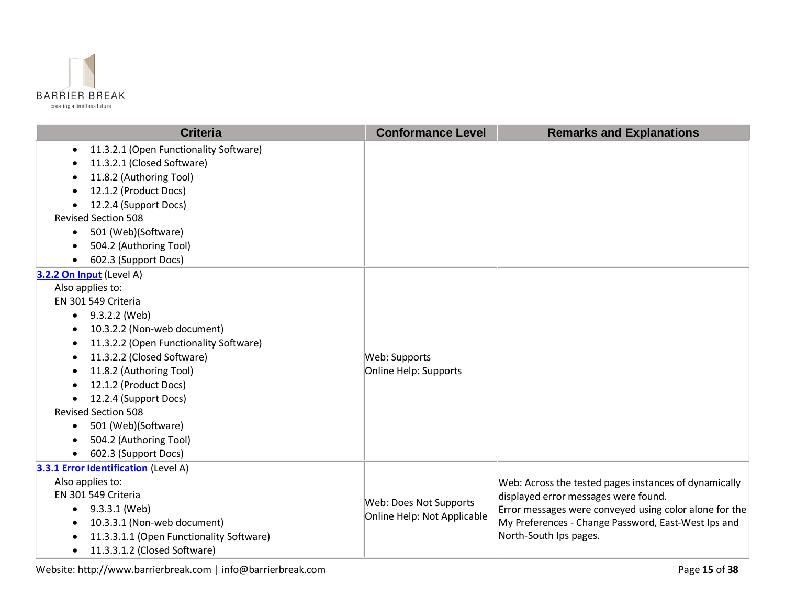

<span id="page-14-0"></span>

| <b>Criteria</b>                                     | <b>Conformance Level</b>                              | <b>Remarks and Explanations</b>                        |
|-----------------------------------------------------|-------------------------------------------------------|--------------------------------------------------------|
| 11.3.2.1 (Open Functionality Software)<br>$\bullet$ |                                                       |                                                        |
| 11.3.2.1 (Closed Software)                          |                                                       |                                                        |
| 11.8.2 (Authoring Tool)                             |                                                       |                                                        |
| 12.1.2 (Product Docs)                               |                                                       |                                                        |
| 12.2.4 (Support Docs)                               |                                                       |                                                        |
| <b>Revised Section 508</b>                          |                                                       |                                                        |
| 501 (Web)(Software)<br>$\bullet$                    |                                                       |                                                        |
| 504.2 (Authoring Tool)                              |                                                       |                                                        |
| 602.3 (Support Docs)                                |                                                       |                                                        |
| 3.2.2 On Input (Level A)                            |                                                       |                                                        |
| Also applies to:                                    |                                                       |                                                        |
| EN 301 549 Criteria                                 |                                                       |                                                        |
| 9.3.2.2 (Web)                                       |                                                       |                                                        |
| 10.3.2.2 (Non-web document)                         |                                                       |                                                        |
| 11.3.2.2 (Open Functionality Software)              |                                                       |                                                        |
| 11.3.2.2 (Closed Software)                          | Web: Supports                                         |                                                        |
| 11.8.2 (Authoring Tool)                             | Online Help: Supports                                 |                                                        |
| 12.1.2 (Product Docs)                               |                                                       |                                                        |
| 12.2.4 (Support Docs)                               |                                                       |                                                        |
| <b>Revised Section 508</b>                          |                                                       |                                                        |
| 501 (Web)(Software)                                 |                                                       |                                                        |
| 504.2 (Authoring Tool)                              |                                                       |                                                        |
| 602.3 (Support Docs)                                |                                                       |                                                        |
| 3.3.1 Error Identification (Level A)                |                                                       |                                                        |
| Also applies to:                                    |                                                       | Web: Across the tested pages instances of dynamically  |
| EN 301 549 Criteria                                 | Web: Does Not Supports<br>Online Help: Not Applicable | displayed error messages were found.                   |
| 9.3.3.1 (Web)<br>$\bullet$                          |                                                       | Error messages were conveyed using color alone for the |
| 10.3.3.1 (Non-web document)                         |                                                       | My Preferences - Change Password, East-West Ips and    |
| 11.3.3.1.1 (Open Functionality Software)            |                                                       | North-South Ips pages.                                 |
| 11.3.3.1.2 (Closed Software)                        |                                                       |                                                        |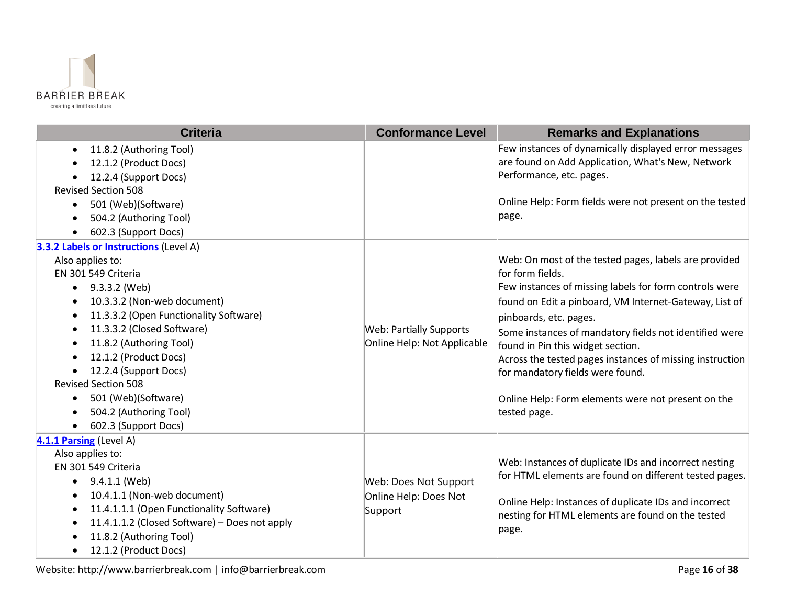

<span id="page-15-0"></span>

| <b>Criteria</b>                                                                                                                                                                                                                                                                                                                                                                                            | <b>Conformance Level</b>                                  | <b>Remarks and Explanations</b>                                                                                                                                                                                                                                                                                                                                                                                                                                                              |
|------------------------------------------------------------------------------------------------------------------------------------------------------------------------------------------------------------------------------------------------------------------------------------------------------------------------------------------------------------------------------------------------------------|-----------------------------------------------------------|----------------------------------------------------------------------------------------------------------------------------------------------------------------------------------------------------------------------------------------------------------------------------------------------------------------------------------------------------------------------------------------------------------------------------------------------------------------------------------------------|
| 11.8.2 (Authoring Tool)<br>12.1.2 (Product Docs)<br>12.2.4 (Support Docs)<br><b>Revised Section 508</b><br>501 (Web)(Software)<br>$\bullet$<br>504.2 (Authoring Tool)<br>602.3 (Support Docs)                                                                                                                                                                                                              |                                                           | Few instances of dynamically displayed error messages<br>are found on Add Application, What's New, Network<br>Performance, etc. pages.<br>Online Help: Form fields were not present on the tested<br>page.                                                                                                                                                                                                                                                                                   |
| 3.3.2 Labels or Instructions (Level A)<br>Also applies to:<br>EN 301 549 Criteria<br>9.3.3.2 (Web)<br>10.3.3.2 (Non-web document)<br>11.3.3.2 (Open Functionality Software)<br>11.3.3.2 (Closed Software)<br>11.8.2 (Authoring Tool)<br>12.1.2 (Product Docs)<br>12.2.4 (Support Docs)<br><b>Revised Section 508</b><br>501 (Web)(Software)<br>$\bullet$<br>504.2 (Authoring Tool)<br>602.3 (Support Docs) | Web: Partially Supports<br>Online Help: Not Applicable    | Web: On most of the tested pages, labels are provided<br>for form fields.<br>Few instances of missing labels for form controls were<br>found on Edit a pinboard, VM Internet-Gateway, List of<br>pinboards, etc. pages.<br>Some instances of mandatory fields not identified were<br>found in Pin this widget section.<br>Across the tested pages instances of missing instruction<br>for mandatory fields were found.<br>Online Help: Form elements were not present on the<br>tested page. |
| 4.1.1 Parsing (Level A)<br>Also applies to:<br>EN 301 549 Criteria<br>9.4.1.1 (Web)<br>$\bullet$<br>10.4.1.1 (Non-web document)<br>11.4.1.1.1 (Open Functionality Software)<br>$\bullet$<br>11.4.1.1.2 (Closed Software) - Does not apply<br>11.8.2 (Authoring Tool)<br>12.1.2 (Product Docs)<br>$\bullet$                                                                                                 | Web: Does Not Support<br>Online Help: Does Not<br>Support | Web: Instances of duplicate IDs and incorrect nesting<br>for HTML elements are found on different tested pages.<br>Online Help: Instances of duplicate IDs and incorrect<br>nesting for HTML elements are found on the tested<br>page.                                                                                                                                                                                                                                                       |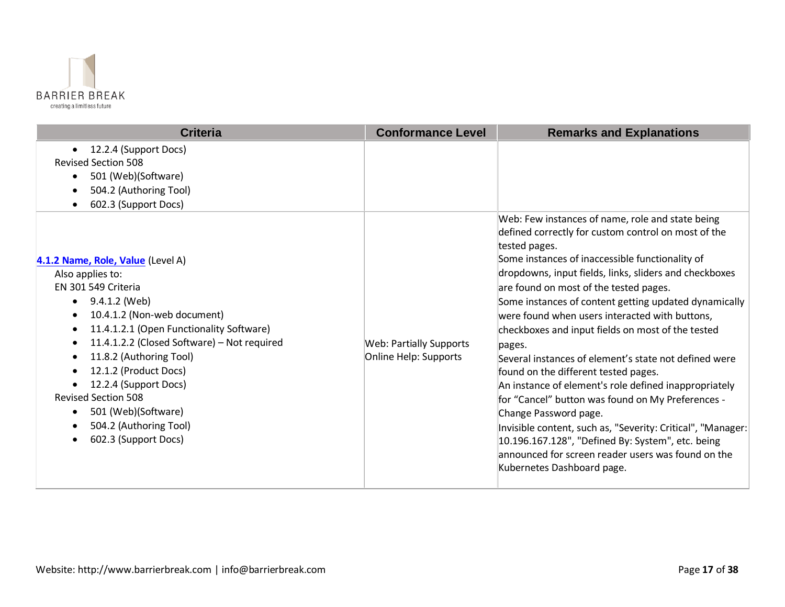

<span id="page-16-0"></span>

| <b>Criteria</b>                                                                                                                                                                                                                                                                                                                                                                                             | <b>Conformance Level</b>                                | <b>Remarks and Explanations</b>                                                                                                                                                                                                                                                                                                                                                                                                                                                                                                                                                                                                                                                                                                                                               |
|-------------------------------------------------------------------------------------------------------------------------------------------------------------------------------------------------------------------------------------------------------------------------------------------------------------------------------------------------------------------------------------------------------------|---------------------------------------------------------|-------------------------------------------------------------------------------------------------------------------------------------------------------------------------------------------------------------------------------------------------------------------------------------------------------------------------------------------------------------------------------------------------------------------------------------------------------------------------------------------------------------------------------------------------------------------------------------------------------------------------------------------------------------------------------------------------------------------------------------------------------------------------------|
| 12.2.4 (Support Docs)<br><b>Revised Section 508</b><br>501 (Web)(Software)<br>$\bullet$<br>504.2 (Authoring Tool)<br>602.3 (Support Docs)                                                                                                                                                                                                                                                                   |                                                         | Web: Few instances of name, role and state being<br>defined correctly for custom control on most of the<br>tested pages.                                                                                                                                                                                                                                                                                                                                                                                                                                                                                                                                                                                                                                                      |
| 4.1.2 Name, Role, Value (Level A)<br>Also applies to:<br>EN 301 549 Criteria<br>9.4.1.2 (Web)<br>10.4.1.2 (Non-web document)<br>11.4.1.2.1 (Open Functionality Software)<br>11.4.1.2.2 (Closed Software) - Not required<br>11.8.2 (Authoring Tool)<br>12.1.2 (Product Docs)<br>12.2.4 (Support Docs)<br><b>Revised Section 508</b><br>501 (Web)(Software)<br>504.2 (Authoring Tool)<br>602.3 (Support Docs) | <b>Web: Partially Supports</b><br>Online Help: Supports | Some instances of inaccessible functionality of<br>dropdowns, input fields, links, sliders and checkboxes<br>are found on most of the tested pages.<br>Some instances of content getting updated dynamically<br>were found when users interacted with buttons,<br>checkboxes and input fields on most of the tested<br>pages.<br>Several instances of element's state not defined were<br>found on the different tested pages.<br>An instance of element's role defined inappropriately<br>for "Cancel" button was found on My Preferences -<br>Change Password page.<br>Invisible content, such as, "Severity: Critical", "Manager:<br>10.196.167.128", "Defined By: System", etc. being<br>announced for screen reader users was found on the<br>Kubernetes Dashboard page. |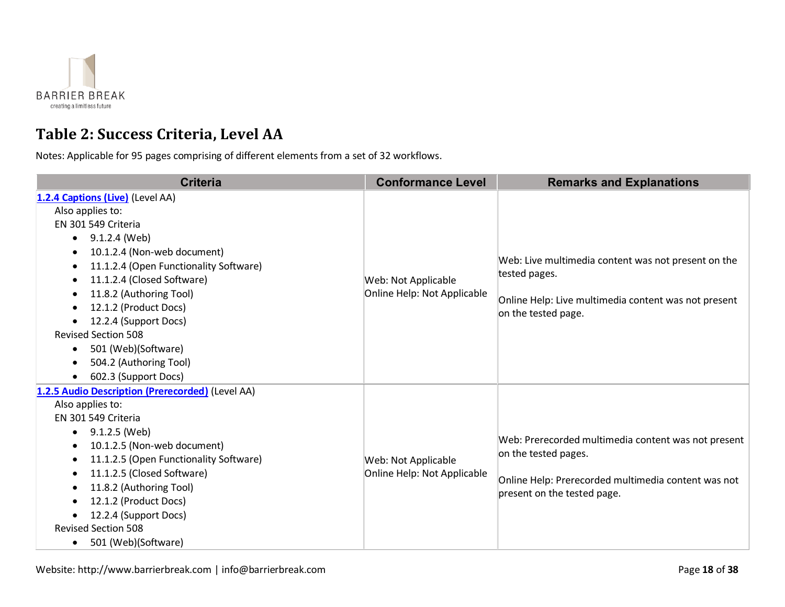

#### **Table 2: Success Criteria, Level AA**

Notes: Applicable for 95 pages comprising of different elements from a set of 32 workflows.

| <b>Criteria</b>                                                                                                                                                                                                                                                                                                                                                                                             | <b>Conformance Level</b>                           | <b>Remarks and Explanations</b>                                                                                                                                   |
|-------------------------------------------------------------------------------------------------------------------------------------------------------------------------------------------------------------------------------------------------------------------------------------------------------------------------------------------------------------------------------------------------------------|----------------------------------------------------|-------------------------------------------------------------------------------------------------------------------------------------------------------------------|
| 1.2.4 Captions (Live) (Level AA)<br>Also applies to:<br>EN 301 549 Criteria<br>9.1.2.4 (Web)<br>٠<br>10.1.2.4 (Non-web document)<br>11.1.2.4 (Open Functionality Software)<br>٠<br>11.1.2.4 (Closed Software)<br>11.8.2 (Authoring Tool)<br>12.1.2 (Product Docs)<br>12.2.4 (Support Docs)<br><b>Revised Section 508</b><br>501 (Web)(Software)<br>٠<br>504.2 (Authoring Tool)<br>602.3 (Support Docs)<br>٠ | Web: Not Applicable<br>Online Help: Not Applicable | Web: Live multimedia content was not present on the<br>tested pages.<br>Online Help: Live multimedia content was not present<br>on the tested page.               |
| 1.2.5 Audio Description (Prerecorded) (Level AA)<br>Also applies to:<br>EN 301 549 Criteria<br>9.1.2.5 (Web)<br>$\bullet$<br>10.1.2.5 (Non-web document)<br>11.1.2.5 (Open Functionality Software)<br>٠<br>11.1.2.5 (Closed Software)<br>11.8.2 (Authoring Tool)<br>٠<br>12.1.2 (Product Docs)<br>12.2.4 (Support Docs)<br><b>Revised Section 508</b><br>501 (Web)(Software)<br>٠                           | Web: Not Applicable<br>Online Help: Not Applicable | Web: Prerecorded multimedia content was not present<br>on the tested pages.<br>Online Help: Prerecorded multimedia content was not<br>present on the tested page. |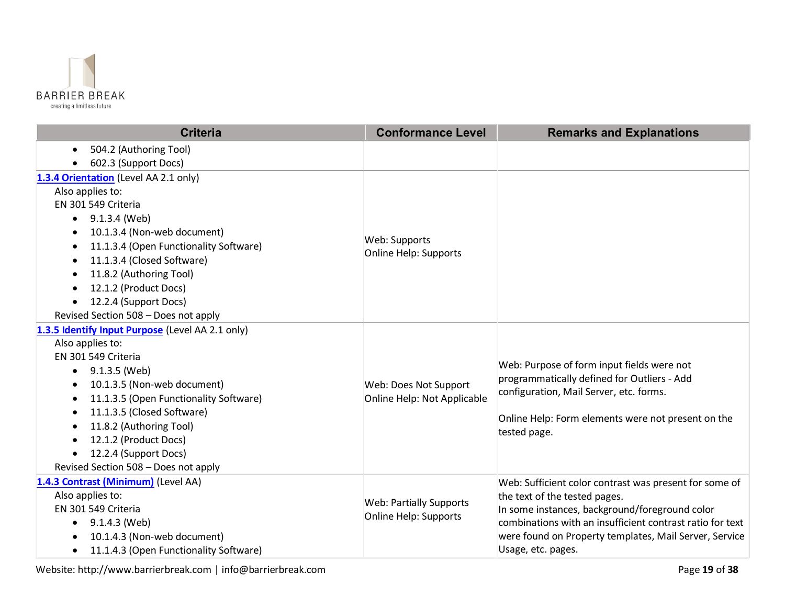

<span id="page-18-1"></span><span id="page-18-0"></span>

| <b>Criteria</b>                                     | <b>Conformance Level</b>                                | <b>Remarks and Explanations</b>                           |
|-----------------------------------------------------|---------------------------------------------------------|-----------------------------------------------------------|
| 504.2 (Authoring Tool)<br>$\bullet$                 |                                                         |                                                           |
| 602.3 (Support Docs)                                |                                                         |                                                           |
| 1.3.4 Orientation (Level AA 2.1 only)               |                                                         |                                                           |
| Also applies to:                                    |                                                         |                                                           |
| EN 301 549 Criteria                                 |                                                         |                                                           |
| 9.1.3.4 (Web)<br>$\bullet$                          |                                                         |                                                           |
| 10.1.3.4 (Non-web document)<br>$\bullet$            | Web: Supports                                           |                                                           |
| 11.1.3.4 (Open Functionality Software)              | Online Help: Supports                                   |                                                           |
| 11.1.3.4 (Closed Software)                          |                                                         |                                                           |
| 11.8.2 (Authoring Tool)                             |                                                         |                                                           |
| 12.1.2 (Product Docs)                               |                                                         |                                                           |
| 12.2.4 (Support Docs)<br>$\bullet$                  |                                                         |                                                           |
| Revised Section 508 - Does not apply                |                                                         |                                                           |
| 1.3.5 Identify Input Purpose (Level AA 2.1 only)    |                                                         |                                                           |
| Also applies to:                                    |                                                         |                                                           |
| EN 301 549 Criteria                                 |                                                         | Web: Purpose of form input fields were not                |
| 9.1.3.5 (Web)<br>$\bullet$                          |                                                         | programmatically defined for Outliers - Add               |
| 10.1.3.5 (Non-web document)                         | Web: Does Not Support                                   | configuration, Mail Server, etc. forms.                   |
| 11.1.3.5 (Open Functionality Software)              | Online Help: Not Applicable                             |                                                           |
| 11.1.3.5 (Closed Software)                          |                                                         | Online Help: Form elements were not present on the        |
| 11.8.2 (Authoring Tool)                             |                                                         | tested page.                                              |
| 12.1.2 (Product Docs)<br>٠                          |                                                         |                                                           |
| 12.2.4 (Support Docs)<br>$\bullet$                  |                                                         |                                                           |
| Revised Section 508 - Does not apply                |                                                         |                                                           |
| 1.4.3 Contrast (Minimum) (Level AA)                 |                                                         | Web: Sufficient color contrast was present for some of    |
| Also applies to:                                    | <b>Web: Partially Supports</b><br>Online Help: Supports | the text of the tested pages.                             |
| EN 301 549 Criteria                                 |                                                         | In some instances, background/foreground color            |
| 9.1.4.3 (Web)<br>$\bullet$                          |                                                         | combinations with an insufficient contrast ratio for text |
| 10.1.4.3 (Non-web document)                         |                                                         | were found on Property templates, Mail Server, Service    |
| 11.1.4.3 (Open Functionality Software)<br>$\bullet$ |                                                         | Usage, etc. pages.                                        |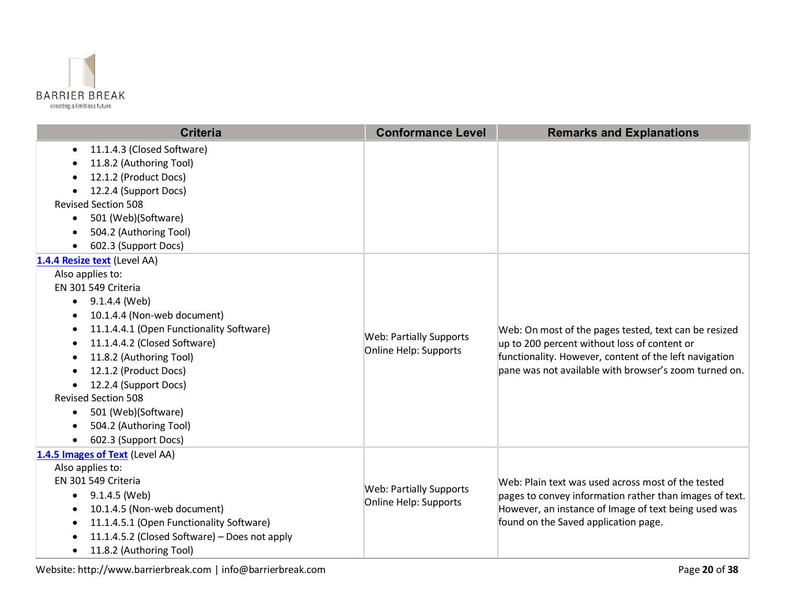

<span id="page-19-0"></span>

| <b>Criteria</b>                               | <b>Conformance Level</b>       | <b>Remarks and Explanations</b>                                                                                                                                                                                          |
|-----------------------------------------------|--------------------------------|--------------------------------------------------------------------------------------------------------------------------------------------------------------------------------------------------------------------------|
| 11.1.4.3 (Closed Software)                    |                                |                                                                                                                                                                                                                          |
| 11.8.2 (Authoring Tool)                       |                                |                                                                                                                                                                                                                          |
| 12.1.2 (Product Docs)                         |                                |                                                                                                                                                                                                                          |
| 12.2.4 (Support Docs)                         |                                |                                                                                                                                                                                                                          |
| <b>Revised Section 508</b>                    |                                |                                                                                                                                                                                                                          |
| 501 (Web)(Software)                           |                                |                                                                                                                                                                                                                          |
| 504.2 (Authoring Tool)                        |                                |                                                                                                                                                                                                                          |
| 602.3 (Support Docs)                          |                                |                                                                                                                                                                                                                          |
| 1.4.4 Resize text (Level AA)                  |                                |                                                                                                                                                                                                                          |
| Also applies to:                              |                                |                                                                                                                                                                                                                          |
| EN 301 549 Criteria                           |                                |                                                                                                                                                                                                                          |
| 9.1.4.4 (Web)<br>$\bullet$                    |                                | Web: On most of the pages tested, text can be resized<br>up to 200 percent without loss of content or<br>functionality. However, content of the left navigation<br>pane was not available with browser's zoom turned on. |
| 10.1.4.4 (Non-web document)                   |                                |                                                                                                                                                                                                                          |
| 11.1.4.4.1 (Open Functionality Software)      | <b>Web: Partially Supports</b> |                                                                                                                                                                                                                          |
| 11.1.4.4.2 (Closed Software)                  | Online Help: Supports          |                                                                                                                                                                                                                          |
| 11.8.2 (Authoring Tool)                       |                                |                                                                                                                                                                                                                          |
| 12.1.2 (Product Docs)                         |                                |                                                                                                                                                                                                                          |
| 12.2.4 (Support Docs)                         |                                |                                                                                                                                                                                                                          |
| <b>Revised Section 508</b>                    |                                |                                                                                                                                                                                                                          |
| 501 (Web)(Software)<br>$\bullet$              |                                |                                                                                                                                                                                                                          |
| 504.2 (Authoring Tool)                        |                                |                                                                                                                                                                                                                          |
| 602.3 (Support Docs)                          |                                |                                                                                                                                                                                                                          |
| 1.4.5 Images of Text (Level AA)               |                                |                                                                                                                                                                                                                          |
| Also applies to:                              |                                | Web: Plain text was used across most of the tested<br>pages to convey information rather than images of text.<br>However, an instance of Image of text being used was                                                    |
| EN 301 549 Criteria                           | <b>Web: Partially Supports</b> |                                                                                                                                                                                                                          |
| 9.1.4.5 (Web)                                 | Online Help: Supports          |                                                                                                                                                                                                                          |
| 10.1.4.5 (Non-web document)                   |                                |                                                                                                                                                                                                                          |
| 11.1.4.5.1 (Open Functionality Software)      |                                | found on the Saved application page.                                                                                                                                                                                     |
| 11.1.4.5.2 (Closed Software) - Does not apply |                                |                                                                                                                                                                                                                          |
| 11.8.2 (Authoring Tool)                       |                                |                                                                                                                                                                                                                          |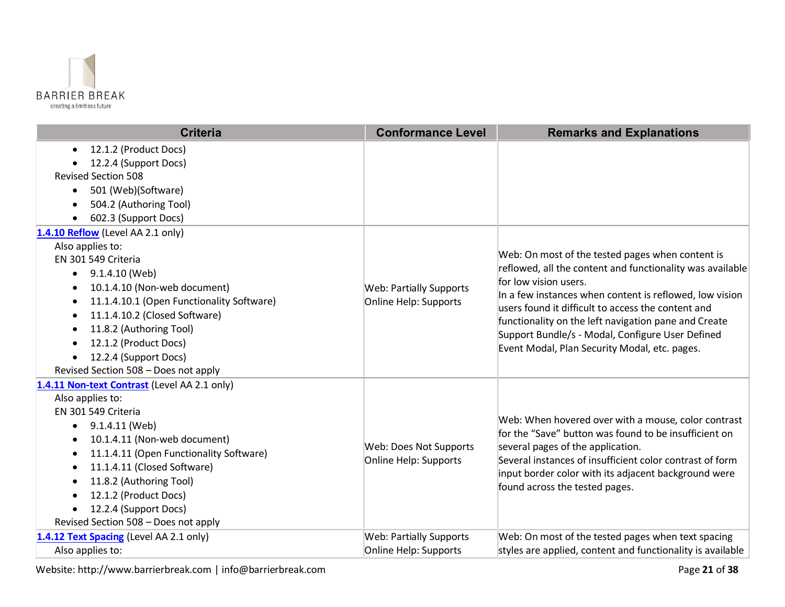

<span id="page-20-0"></span>

| <b>Criteria</b>                                                                                                                                                                                                                                                                                                                                                 | <b>Conformance Level</b>                                | <b>Remarks and Explanations</b>                                                                                                                                                                                                                                                                                                                                                                                      |
|-----------------------------------------------------------------------------------------------------------------------------------------------------------------------------------------------------------------------------------------------------------------------------------------------------------------------------------------------------------------|---------------------------------------------------------|----------------------------------------------------------------------------------------------------------------------------------------------------------------------------------------------------------------------------------------------------------------------------------------------------------------------------------------------------------------------------------------------------------------------|
| 12.1.2 (Product Docs)<br>12.2.4 (Support Docs)<br><b>Revised Section 508</b><br>501 (Web)(Software)<br>$\bullet$<br>504.2 (Authoring Tool)<br>602.3 (Support Docs)                                                                                                                                                                                              |                                                         |                                                                                                                                                                                                                                                                                                                                                                                                                      |
| 1.4.10 Reflow (Level AA 2.1 only)<br>Also applies to:<br>EN 301 549 Criteria<br>$\bullet$ 9.1.4.10 (Web)<br>10.1.4.10 (Non-web document)<br>11.1.4.10.1 (Open Functionality Software)<br>٠<br>11.1.4.10.2 (Closed Software)<br>11.8.2 (Authoring Tool)<br>12.1.2 (Product Docs)<br>12.2.4 (Support Docs)<br>Revised Section 508 - Does not apply                | <b>Web: Partially Supports</b><br>Online Help: Supports | Web: On most of the tested pages when content is<br>reflowed, all the content and functionality was available<br>for low vision users.<br>In a few instances when content is reflowed, low vision<br>users found it difficult to access the content and<br>functionality on the left navigation pane and Create<br>Support Bundle/s - Modal, Configure User Defined<br>Event Modal, Plan Security Modal, etc. pages. |
| 1.4.11 Non-text Contrast (Level AA 2.1 only)<br>Also applies to:<br>EN 301 549 Criteria<br>9.1.4.11 (Web)<br>٠<br>10.1.4.11 (Non-web document)<br>٠<br>11.1.4.11 (Open Functionality Software)<br>11.1.4.11 (Closed Software)<br>11.8.2 (Authoring Tool)<br>12.1.2 (Product Docs)<br>12.2.4 (Support Docs)<br>$\bullet$<br>Revised Section 508 - Does not apply | <b>Web: Does Not Supports</b><br>Online Help: Supports  | Web: When hovered over with a mouse, color contrast<br>for the "Save" button was found to be insufficient on<br>several pages of the application.<br>Several instances of insufficient color contrast of form<br>input border color with its adjacent background were<br>found across the tested pages.                                                                                                              |
| 1.4.12 Text Spacing (Level AA 2.1 only)<br>Also applies to:                                                                                                                                                                                                                                                                                                     | <b>Web: Partially Supports</b><br>Online Help: Supports | Web: On most of the tested pages when text spacing<br>styles are applied, content and functionality is available                                                                                                                                                                                                                                                                                                     |

<span id="page-20-1"></span>Website: http://www.barrierbreak.com | info@barrierbreak.com **Page 21** of **38** Page 21 of **38**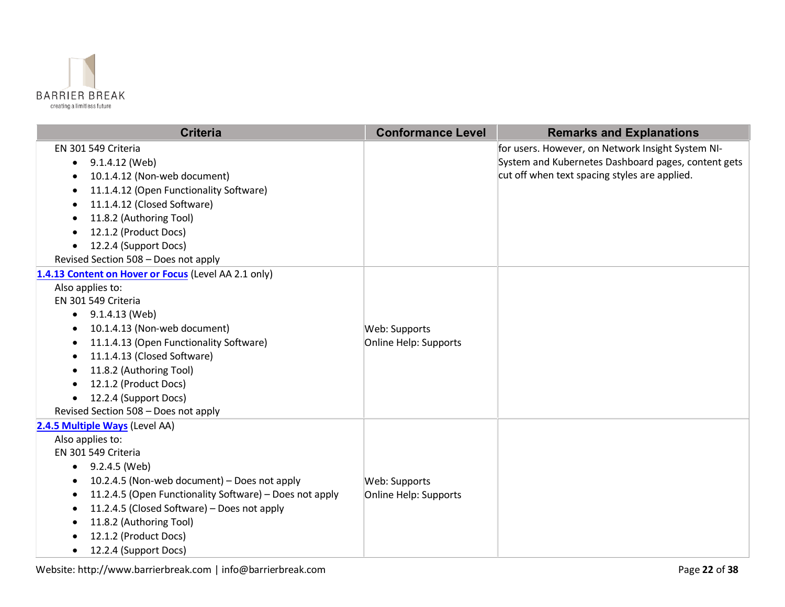

| <b>Criteria</b>                                                                                                                                                                                                                                                                                                                                                                                                 | <b>Conformance Level</b>               | <b>Remarks and Explanations</b>                                                                                                                           |
|-----------------------------------------------------------------------------------------------------------------------------------------------------------------------------------------------------------------------------------------------------------------------------------------------------------------------------------------------------------------------------------------------------------------|----------------------------------------|-----------------------------------------------------------------------------------------------------------------------------------------------------------|
| EN 301 549 Criteria<br>9.1.4.12 (Web)<br>$\bullet$<br>10.1.4.12 (Non-web document)<br>11.1.4.12 (Open Functionality Software)<br>11.1.4.12 (Closed Software)<br>11.8.2 (Authoring Tool)<br>12.1.2 (Product Docs)<br>12.2.4 (Support Docs)                                                                                                                                                                       |                                        | for users. However, on Network Insight System NI-<br>System and Kubernetes Dashboard pages, content gets<br>cut off when text spacing styles are applied. |
| Revised Section 508 - Does not apply<br>1.4.13 Content on Hover or Focus (Level AA 2.1 only)<br>Also applies to:<br>EN 301 549 Criteria<br>$\bullet$ 9.1.4.13 (Web)<br>10.1.4.13 (Non-web document)<br>11.1.4.13 (Open Functionality Software)<br>$\bullet$<br>11.1.4.13 (Closed Software)<br>11.8.2 (Authoring Tool)<br>12.1.2 (Product Docs)<br>12.2.4 (Support Docs)<br>Revised Section 508 - Does not apply | Web: Supports<br>Online Help: Supports |                                                                                                                                                           |
| 2.4.5 Multiple Ways (Level AA)<br>Also applies to:<br>EN 301 549 Criteria<br>9.2.4.5 (Web)<br>$\bullet$<br>10.2.4.5 (Non-web document) - Does not apply<br>$\bullet$<br>11.2.4.5 (Open Functionality Software) - Does not apply<br>$\bullet$<br>11.2.4.5 (Closed Software) - Does not apply<br>11.8.2 (Authoring Tool)<br>12.1.2 (Product Docs)<br>12.2.4 (Support Docs)<br>$\bullet$                           | Web: Supports<br>Online Help: Supports |                                                                                                                                                           |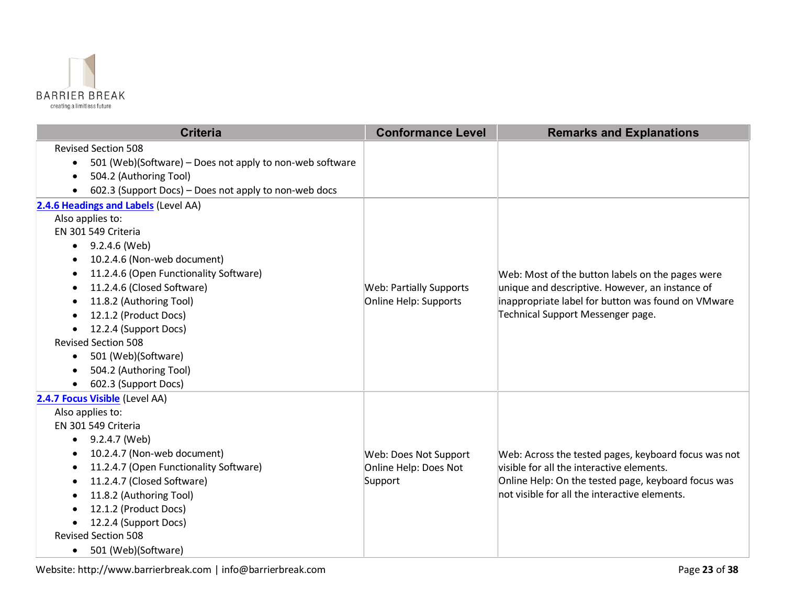

<span id="page-22-0"></span>

| <b>Criteria</b>                                                       | <b>Conformance Level</b>       | <b>Remarks and Explanations</b>                                                                                                            |
|-----------------------------------------------------------------------|--------------------------------|--------------------------------------------------------------------------------------------------------------------------------------------|
| <b>Revised Section 508</b>                                            |                                |                                                                                                                                            |
| 501 (Web)(Software) – Does not apply to non-web software<br>$\bullet$ |                                |                                                                                                                                            |
| 504.2 (Authoring Tool)                                                |                                |                                                                                                                                            |
| 602.3 (Support Docs) - Does not apply to non-web docs<br>$\bullet$    |                                |                                                                                                                                            |
| 2.4.6 Headings and Labels (Level AA)                                  |                                |                                                                                                                                            |
| Also applies to:                                                      |                                |                                                                                                                                            |
| EN 301 549 Criteria                                                   |                                |                                                                                                                                            |
| 9.2.4.6 (Web)                                                         |                                |                                                                                                                                            |
| 10.2.4.6 (Non-web document)<br>٠                                      |                                |                                                                                                                                            |
| 11.2.4.6 (Open Functionality Software)                                |                                | Web: Most of the button labels on the pages were                                                                                           |
| 11.2.4.6 (Closed Software)<br>٠                                       | <b>Web: Partially Supports</b> | unique and descriptive. However, an instance of<br>inappropriate label for button was found on VMware<br>Technical Support Messenger page. |
| 11.8.2 (Authoring Tool)                                               | Online Help: Supports          |                                                                                                                                            |
| 12.1.2 (Product Docs)                                                 |                                |                                                                                                                                            |
| 12.2.4 (Support Docs)                                                 |                                |                                                                                                                                            |
| <b>Revised Section 508</b>                                            |                                |                                                                                                                                            |
| 501 (Web)(Software)                                                   |                                |                                                                                                                                            |
| 504.2 (Authoring Tool)                                                |                                |                                                                                                                                            |
| 602.3 (Support Docs)                                                  |                                |                                                                                                                                            |
| 2.4.7 Focus Visible (Level AA)                                        |                                |                                                                                                                                            |
| Also applies to:                                                      |                                |                                                                                                                                            |
| EN 301 549 Criteria                                                   |                                |                                                                                                                                            |
| $\bullet$ 9.2.4.7 (Web)                                               |                                |                                                                                                                                            |
| 10.2.4.7 (Non-web document)                                           | Web: Does Not Support          | Web: Across the tested pages, keyboard focus was not                                                                                       |
| 11.2.4.7 (Open Functionality Software)<br>$\bullet$                   | Online Help: Does Not          | visible for all the interactive elements.                                                                                                  |
| 11.2.4.7 (Closed Software)<br>$\bullet$                               | Support                        | Online Help: On the tested page, keyboard focus was                                                                                        |
| 11.8.2 (Authoring Tool)                                               |                                | not visible for all the interactive elements.                                                                                              |
| 12.1.2 (Product Docs)                                                 |                                |                                                                                                                                            |
| 12.2.4 (Support Docs)                                                 |                                |                                                                                                                                            |
| <b>Revised Section 508</b>                                            |                                |                                                                                                                                            |
| 501 (Web)(Software)<br>٠                                              |                                |                                                                                                                                            |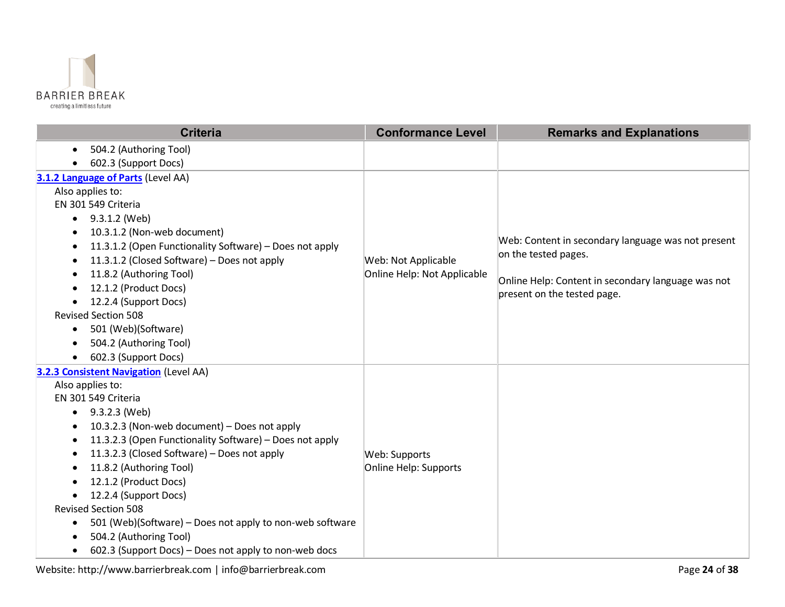

| <b>Criteria</b>                                                       | <b>Conformance Level</b>    | <b>Remarks and Explanations</b>                    |
|-----------------------------------------------------------------------|-----------------------------|----------------------------------------------------|
| 504.2 (Authoring Tool)                                                |                             |                                                    |
| 602.3 (Support Docs)                                                  |                             |                                                    |
| 3.1.2 Language of Parts (Level AA)                                    |                             |                                                    |
| Also applies to:                                                      |                             |                                                    |
| EN 301 549 Criteria                                                   |                             |                                                    |
| 9.3.1.2 (Web)<br>$\bullet$                                            |                             |                                                    |
| 10.3.1.2 (Non-web document)                                           |                             | Web: Content in secondary language was not present |
| 11.3.1.2 (Open Functionality Software) - Does not apply               |                             | on the tested pages.                               |
| 11.3.1.2 (Closed Software) - Does not apply                           | Web: Not Applicable         |                                                    |
| 11.8.2 (Authoring Tool)<br>$\bullet$                                  | Online Help: Not Applicable | Online Help: Content in secondary language was not |
| 12.1.2 (Product Docs)                                                 |                             | present on the tested page.                        |
| 12.2.4 (Support Docs)<br>$\bullet$                                    |                             |                                                    |
| <b>Revised Section 508</b>                                            |                             |                                                    |
| 501 (Web)(Software)<br>$\bullet$                                      |                             |                                                    |
| 504.2 (Authoring Tool)                                                |                             |                                                    |
| 602.3 (Support Docs)                                                  |                             |                                                    |
| 3.2.3 Consistent Navigation (Level AA)                                |                             |                                                    |
| Also applies to:                                                      |                             |                                                    |
| EN 301 549 Criteria                                                   |                             |                                                    |
| 9.3.2.3 (Web)<br>$\bullet$                                            |                             |                                                    |
| 10.3.2.3 (Non-web document) - Does not apply                          |                             |                                                    |
| 11.3.2.3 (Open Functionality Software) - Does not apply<br>$\bullet$  |                             |                                                    |
| 11.3.2.3 (Closed Software) - Does not apply                           | Web: Supports               |                                                    |
| 11.8.2 (Authoring Tool)                                               | Online Help: Supports       |                                                    |
| 12.1.2 (Product Docs)                                                 |                             |                                                    |
| 12.2.4 (Support Docs)                                                 |                             |                                                    |
| <b>Revised Section 508</b>                                            |                             |                                                    |
| 501 (Web)(Software) – Does not apply to non-web software<br>$\bullet$ |                             |                                                    |
| 504.2 (Authoring Tool)                                                |                             |                                                    |
| 602.3 (Support Docs) - Does not apply to non-web docs<br>$\bullet$    |                             |                                                    |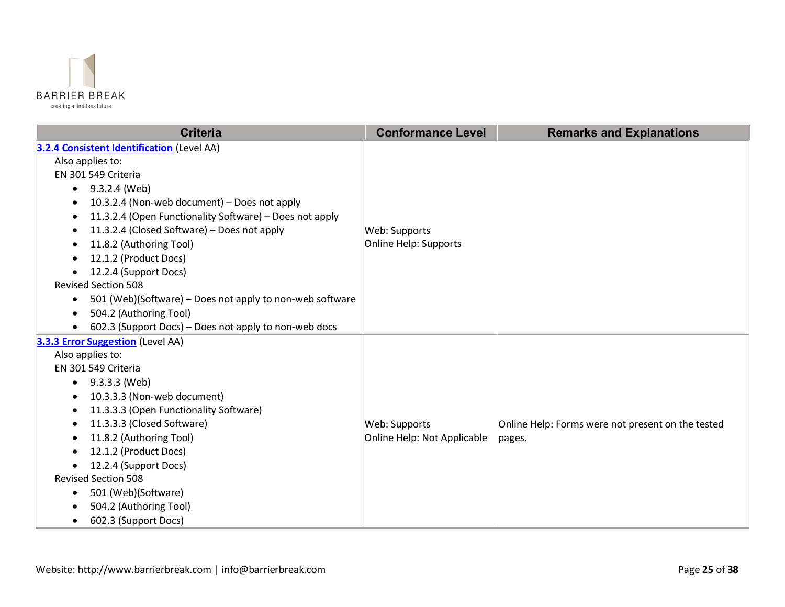

| <b>Criteria</b>                                                       | <b>Conformance Level</b>    | <b>Remarks and Explanations</b>                   |
|-----------------------------------------------------------------------|-----------------------------|---------------------------------------------------|
| 3.2.4 Consistent Identification (Level AA)                            |                             |                                                   |
| Also applies to:                                                      |                             |                                                   |
| EN 301 549 Criteria                                                   |                             |                                                   |
| 9.3.2.4 (Web)<br>$\bullet$                                            |                             |                                                   |
| 10.3.2.4 (Non-web document) - Does not apply<br>$\bullet$             |                             |                                                   |
| 11.3.2.4 (Open Functionality Software) - Does not apply<br>$\bullet$  |                             |                                                   |
| 11.3.2.4 (Closed Software) - Does not apply<br>$\bullet$              | Web: Supports               |                                                   |
| 11.8.2 (Authoring Tool)<br>٠                                          | Online Help: Supports       |                                                   |
| 12.1.2 (Product Docs)<br>٠                                            |                             |                                                   |
| 12.2.4 (Support Docs)<br>$\bullet$                                    |                             |                                                   |
| <b>Revised Section 508</b>                                            |                             |                                                   |
| 501 (Web)(Software) – Does not apply to non-web software<br>$\bullet$ |                             |                                                   |
| 504.2 (Authoring Tool)<br>$\bullet$                                   |                             |                                                   |
| 602.3 (Support Docs) - Does not apply to non-web docs<br>$\bullet$    |                             |                                                   |
| 3.3.3 Error Suggestion (Level AA)                                     |                             |                                                   |
| Also applies to:                                                      |                             |                                                   |
| EN 301 549 Criteria                                                   |                             |                                                   |
| 9.3.3.3 (Web)<br>$\bullet$                                            |                             |                                                   |
| 10.3.3.3 (Non-web document)<br>$\bullet$                              |                             |                                                   |
| 11.3.3.3 (Open Functionality Software)<br>$\bullet$                   |                             |                                                   |
| 11.3.3.3 (Closed Software)<br>$\bullet$                               | Web: Supports               | Online Help: Forms were not present on the tested |
| 11.8.2 (Authoring Tool)<br>$\bullet$                                  | Online Help: Not Applicable | pages.                                            |
| 12.1.2 (Product Docs)<br>٠                                            |                             |                                                   |
| 12.2.4 (Support Docs)<br>$\bullet$                                    |                             |                                                   |
| <b>Revised Section 508</b>                                            |                             |                                                   |
| 501 (Web)(Software)<br>$\bullet$                                      |                             |                                                   |
| 504.2 (Authoring Tool)                                                |                             |                                                   |
| 602.3 (Support Docs)<br>$\bullet$                                     |                             |                                                   |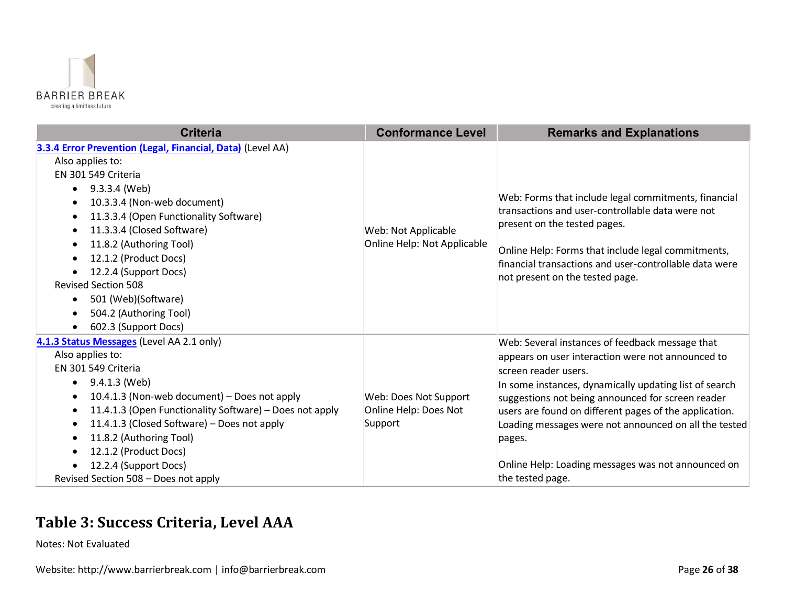

| <b>Criteria</b>                                                                                                                                                                                                                                                                                                                                                                                                                                                                 | <b>Conformance Level</b>                                  | <b>Remarks and Explanations</b>                                                                                                                                                                                                                                                                                                                                                                                                                    |
|---------------------------------------------------------------------------------------------------------------------------------------------------------------------------------------------------------------------------------------------------------------------------------------------------------------------------------------------------------------------------------------------------------------------------------------------------------------------------------|-----------------------------------------------------------|----------------------------------------------------------------------------------------------------------------------------------------------------------------------------------------------------------------------------------------------------------------------------------------------------------------------------------------------------------------------------------------------------------------------------------------------------|
| 3.3.4 Error Prevention (Legal, Financial, Data) (Level AA)<br>Also applies to:<br>EN 301 549 Criteria<br>9.3.3.4 (Web)<br>$\bullet$<br>10.3.3.4 (Non-web document)<br>$\bullet$                                                                                                                                                                                                                                                                                                 |                                                           | Web: Forms that include legal commitments, financial                                                                                                                                                                                                                                                                                                                                                                                               |
| 11.3.3.4 (Open Functionality Software)<br>$\bullet$<br>11.3.3.4 (Closed Software)<br>$\bullet$<br>11.8.2 (Authoring Tool)<br>$\bullet$<br>12.1.2 (Product Docs)<br>$\bullet$<br>12.2.4 (Support Docs)<br>٠<br><b>Revised Section 508</b><br>501 (Web)(Software)<br>504.2 (Authoring Tool)<br>$\bullet$<br>602.3 (Support Docs)<br>$\bullet$                                                                                                                                     | Web: Not Applicable<br>Online Help: Not Applicable        | transactions and user-controllable data were not<br>present on the tested pages.<br>Online Help: Forms that include legal commitments,<br>financial transactions and user-controllable data were<br>not present on the tested page.                                                                                                                                                                                                                |
| 4.1.3 Status Messages (Level AA 2.1 only)<br>Also applies to:<br>EN 301 549 Criteria<br>9.4.1.3 (Web)<br>$\bullet$<br>10.4.1.3 (Non-web document) - Does not apply<br>$\bullet$<br>11.4.1.3 (Open Functionality Software) - Does not apply<br>$\bullet$<br>11.4.1.3 (Closed Software) - Does not apply<br>$\bullet$<br>11.8.2 (Authoring Tool)<br>$\bullet$<br>12.1.2 (Product Docs)<br>$\bullet$<br>12.2.4 (Support Docs)<br>$\bullet$<br>Revised Section 508 - Does not apply | Web: Does Not Support<br>Online Help: Does Not<br>Support | Web: Several instances of feedback message that<br>appears on user interaction were not announced to<br>screen reader users.<br>In some instances, dynamically updating list of search<br>suggestions not being announced for screen reader<br>users are found on different pages of the application.<br>Loading messages were not announced on all the tested<br>pages.<br>Online Help: Loading messages was not announced on<br>the tested page. |

#### **Table 3: Success Criteria, Level AAA**

Notes: Not Evaluated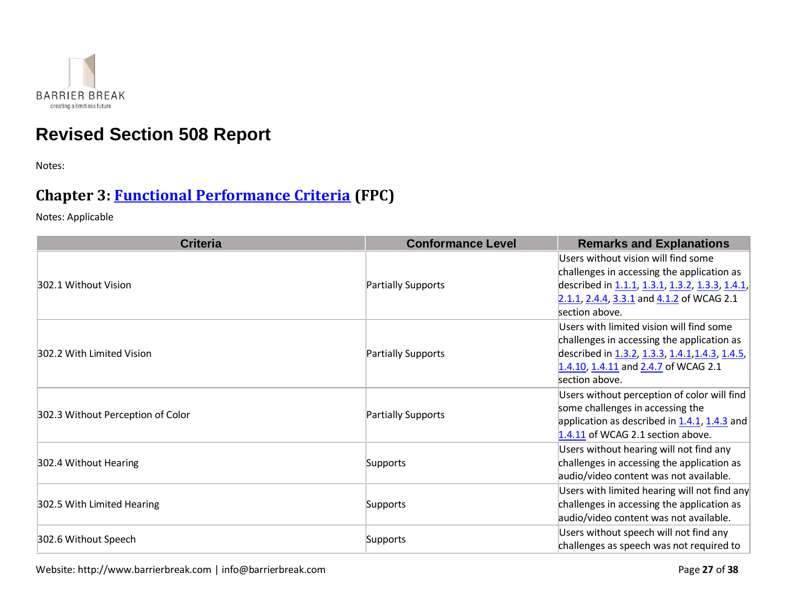

## **Revised Section 508 Report**

Notes:

#### **Chapter 3: [Functional Performance Criteria](https://www.access-board.gov/guidelines-and-standards/communications-and-it/about-the-ict-refresh/final-rule/text-of-the-standards-and-guidelines#302-functional-performance-criteria) (FPC)**

Notes: Applicable

| <b>Criteria</b>                   | <b>Conformance Level</b> | <b>Remarks and Explanations</b>                 |
|-----------------------------------|--------------------------|-------------------------------------------------|
|                                   |                          | Users without vision will find some             |
|                                   |                          | challenges in accessing the application as      |
| 302.1 Without Vision              | Partially Supports       | described in 1.1.1, 1.3.1, 1.3.2, 1.3.3, 1.4.1, |
|                                   |                          | 2.1.1, 2.4.4, 3.3.1 and 4.1.2 of WCAG 2.1       |
|                                   |                          | section above.                                  |
|                                   |                          | Users with limited vision will find some        |
|                                   |                          | challenges in accessing the application as      |
| 302.2 With Limited Vision         | Partially Supports       | described in 1.3.2, 1.3.3, 1.4.1, 1.4.3, 1.4.5, |
|                                   |                          | 1.4.10, 1.4.11 and 2.4.7 of WCAG 2.1            |
|                                   |                          | section above.                                  |
|                                   | Partially Supports       | Users without perception of color will find     |
|                                   |                          | some challenges in accessing the                |
| 302.3 Without Perception of Color |                          | application as described in 1.4.1, 1.4.3 and    |
|                                   |                          | $1.4.11$ of WCAG 2.1 section above.             |
|                                   | Supports                 | Users without hearing will not find any         |
| 302.4 Without Hearing             |                          | challenges in accessing the application as      |
|                                   |                          | audio/video content was not available.          |
| 302.5 With Limited Hearing        |                          | Users with limited hearing will not find any    |
|                                   | Supports                 | challenges in accessing the application as      |
|                                   |                          | audio/video content was not available.          |
| 302.6 Without Speech              | Supports                 | Users without speech will not find any          |
|                                   |                          | challenges as speech was not required to        |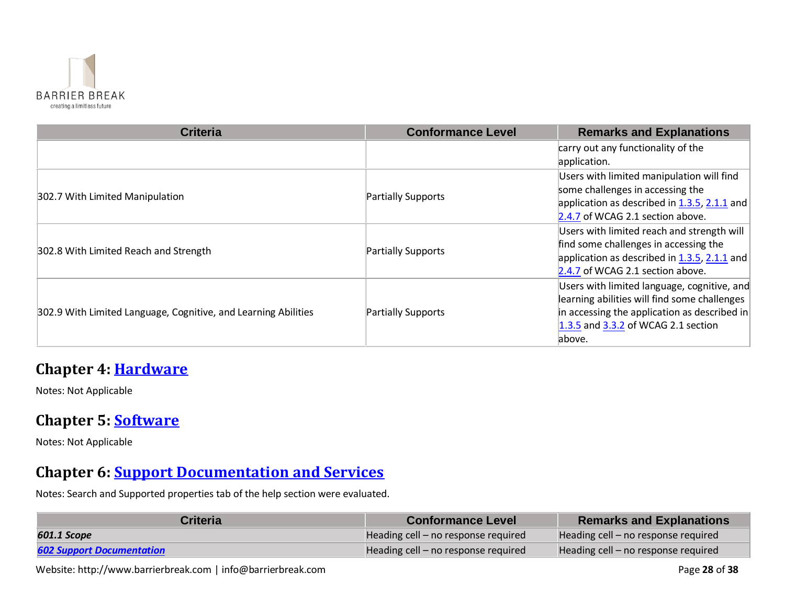

| <b>Criteria</b>                                                | <b>Conformance Level</b> | <b>Remarks and Explanations</b>                 |
|----------------------------------------------------------------|--------------------------|-------------------------------------------------|
|                                                                |                          | carry out any functionality of the              |
|                                                                |                          | application.                                    |
|                                                                |                          | Users with limited manipulation will find       |
| 302.7 With Limited Manipulation                                | Partially Supports       | some challenges in accessing the                |
|                                                                |                          | application as described in 1.3.5, 2.1.1 and    |
|                                                                |                          | 2.4.7 of WCAG 2.1 section above.                |
|                                                                |                          | Users with limited reach and strength will      |
| 302.8 With Limited Reach and Strength                          | Partially Supports       | find some challenges in accessing the           |
|                                                                |                          | application as described in $1.3.5$ , 2.1.1 and |
|                                                                |                          | 2.4.7 of WCAG 2.1 section above.                |
|                                                                |                          | Users with limited language, cognitive, and     |
| 302.9 With Limited Language, Cognitive, and Learning Abilities |                          | learning abilities will find some challenges    |
|                                                                | Partially Supports       | in accessing the application as described in    |
|                                                                |                          | $1.3.5$ and $3.3.2$ of WCAG 2.1 section         |
|                                                                |                          | labove.                                         |

#### **Chapter 4: [Hardware](https://www.access-board.gov/guidelines-and-standards/communications-and-it/about-the-ict-refresh/final-rule/text-of-the-standards-and-guidelines#401-general)**

Notes: Not Applicable

#### **Chapter 5: [Software](https://www.access-board.gov/guidelines-and-standards/communications-and-it/about-the-ict-refresh/final-rule/text-of-the-standards-and-guidelines#501-general)**

Notes: Not Applicable

#### **Chapter 6: [Support Documentation and Services](https://www.access-board.gov/guidelines-and-standards/communications-and-it/about-the-ict-refresh/final-rule/text-of-the-standards-and-guidelines#601-general)**

Notes: Search and Supported properties tab of the help section were evaluated.

| Criterial                        | Conformance Level                   | <b>Remarks and Explanations</b>     |
|----------------------------------|-------------------------------------|-------------------------------------|
| 601.1 Scope                      | Heading cell – no response required | Heading cell – no response required |
| <b>602 Support Documentation</b> | Heading cell – no response required | Heading cell – no response required |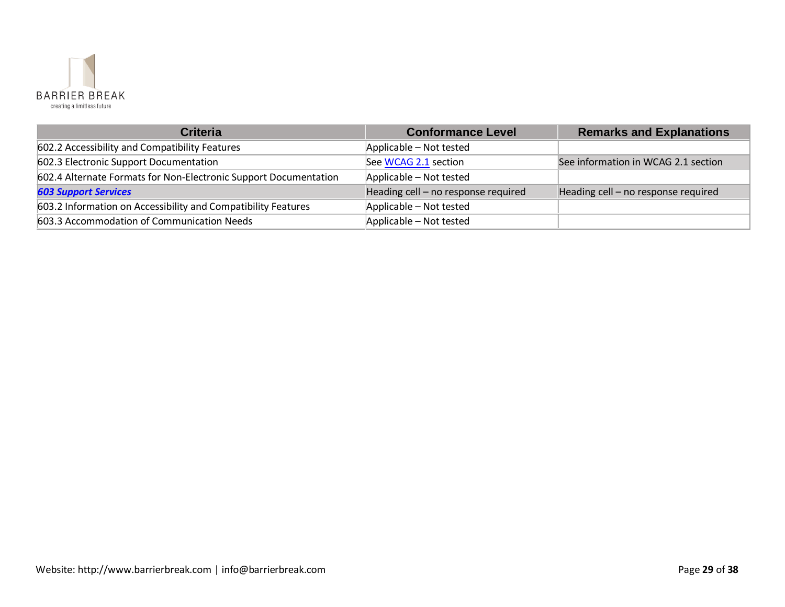

| <b>Criteria</b>                                                  | <b>Conformance Level</b>            | <b>Remarks and Explanations</b>     |
|------------------------------------------------------------------|-------------------------------------|-------------------------------------|
| 602.2 Accessibility and Compatibility Features                   | Applicable – Not tested             |                                     |
| 602.3 Electronic Support Documentation                           | See WCAG 2.1 section                | See information in WCAG 2.1 section |
| 602.4 Alternate Formats for Non-Electronic Support Documentation | Applicable - Not tested             |                                     |
| <b>603 Support Services</b>                                      | Heading cell - no response required | Heading cell - no response required |
| 603.2 Information on Accessibility and Compatibility Features    | Applicable - Not tested             |                                     |
| 603.3 Accommodation of Communication Needs                       | Applicable - Not tested             |                                     |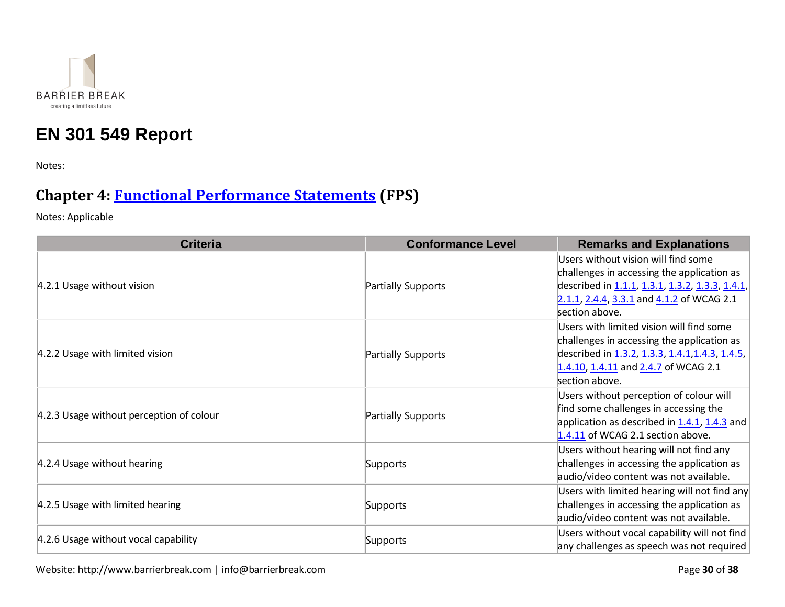

# **EN 301 549 Report**

Notes:

#### **Chapter 4: [Functional Performance Statements](https://www.etsi.org/deliver/etsi_en/301500_301599/301549/02.01.02_60/en_301549v020102p.pdf#page=17) (FPS)**

Notes: Applicable

<span id="page-29-1"></span><span id="page-29-0"></span>

| <b>Criteria</b>                          | <b>Conformance Level</b> | <b>Remarks and Explanations</b>                 |
|------------------------------------------|--------------------------|-------------------------------------------------|
|                                          |                          | Users without vision will find some             |
|                                          |                          | challenges in accessing the application as      |
| 4.2.1 Usage without vision               | Partially Supports       | described in 1.1.1, 1.3.1, 1.3.2, 1.3.3, 1.4.1, |
|                                          |                          | 2.1.1, 2.4.4, 3.3.1 and 4.1.2 of WCAG 2.1       |
|                                          |                          | section above.                                  |
|                                          |                          | Users with limited vision will find some        |
|                                          |                          | challenges in accessing the application as      |
| 4.2.2 Usage with limited vision          | Partially Supports       | described in 1.3.2, 1.3.3, 1.4.1, 1.4.3, 1.4.5, |
|                                          |                          | $1.4.10$ , 1.4.11 and 2.4.7 of WCAG 2.1         |
|                                          |                          | section above.                                  |
|                                          | Partially Supports       | Users without perception of colour will         |
|                                          |                          | find some challenges in accessing the           |
| 4.2.3 Usage without perception of colour |                          | application as described in 1.4.1, 1.4.3 and    |
|                                          |                          | $1.4.11$ of WCAG 2.1 section above.             |
|                                          |                          | Users without hearing will not find any         |
| 4.2.4 Usage without hearing              | Supports                 | challenges in accessing the application as      |
|                                          |                          | audio/video content was not available.          |
| 4.2.5 Usage with limited hearing         |                          | Users with limited hearing will not find any    |
|                                          | Supports                 | challenges in accessing the application as      |
|                                          |                          | audio/video content was not available.          |
| 4.2.6 Usage without vocal capability     |                          | Users without vocal capability will not find    |
|                                          | Supports                 | any challenges as speech was not required       |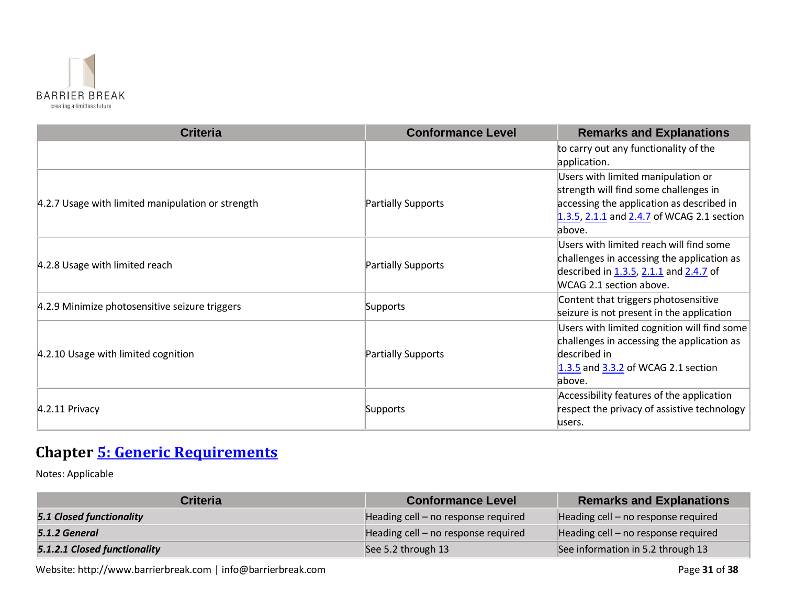

| <b>Criteria</b>                                   | <b>Conformance Level</b> | <b>Remarks and Explanations</b>                                                                                                                                                  |
|---------------------------------------------------|--------------------------|----------------------------------------------------------------------------------------------------------------------------------------------------------------------------------|
|                                                   |                          | to carry out any functionality of the<br>application.                                                                                                                            |
| 4.2.7 Usage with limited manipulation or strength | Partially Supports       | Users with limited manipulation or<br>strength will find some challenges in<br>accessing the application as described in<br>1.3.5, 2.1.1 and 2.4.7 of WCAG 2.1 section<br>above. |
| 4.2.8 Usage with limited reach                    | Partially Supports       | Users with limited reach will find some<br>challenges in accessing the application as<br>described in 1.3.5, 2.1.1 and 2.4.7 of<br>WCAG 2.1 section above.                       |
| 4.2.9 Minimize photosensitive seizure triggers    | Supports                 | Content that triggers photosensitive<br>seizure is not present in the application                                                                                                |
| 4.2.10 Usage with limited cognition               | Partially Supports       | Users with limited cognition will find some<br>challenges in accessing the application as<br>described in<br>$1.3.5$ and $3.3.2$ of WCAG 2.1 section<br>above.                   |
| $4.2.11$ Privacy                                  | Supports                 | Accessibility features of the application<br>respect the privacy of assistive technology<br>users.                                                                               |

## <span id="page-30-0"></span>**Chapter [5: Generic Requirements](https://www.etsi.org/deliver/etsi_en/301500_301599/301549/02.01.02_60/en_301549v020102p.pdf#page=20)**

Notes: Applicable

| <b>Criteria</b>                 | <b>Conformance Level</b>            | <b>Remarks and Explanations</b>     |
|---------------------------------|-------------------------------------|-------------------------------------|
| <b>5.1 Closed functionality</b> | Heading cell – no response required | Heading cell – no response required |
| 5.1.2 General                   | Heading cell - no response required | Heading cell – no response required |
| 5.1.2.1 Closed functionality    | See 5.2 through 13                  | See information in 5.2 through 13   |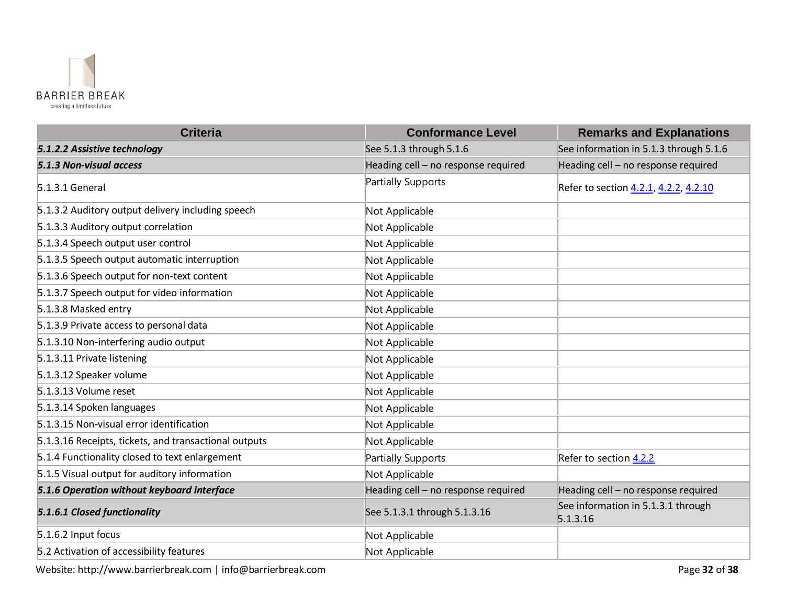

| <b>Criteria</b>                                       | <b>Conformance Level</b>            | <b>Remarks and Explanations</b>                |
|-------------------------------------------------------|-------------------------------------|------------------------------------------------|
| 5.1.2.2 Assistive technology                          | See 5.1.3 through 5.1.6             | See information in 5.1.3 through 5.1.6         |
| 5.1.3 Non-visual access                               | Heading cell - no response required | Heading cell - no response required            |
| $5.1.3.1$ General                                     | Partially Supports                  | Refer to section 4.2.1, 4.2.2, 4.2.10          |
| 5.1.3.2 Auditory output delivery including speech     | Not Applicable                      |                                                |
| 5.1.3.3 Auditory output correlation                   | Not Applicable                      |                                                |
| 5.1.3.4 Speech output user control                    | Not Applicable                      |                                                |
| 5.1.3.5 Speech output automatic interruption          | Not Applicable                      |                                                |
| 5.1.3.6 Speech output for non-text content            | Not Applicable                      |                                                |
| 5.1.3.7 Speech output for video information           | Not Applicable                      |                                                |
| 5.1.3.8 Masked entry                                  | Not Applicable                      |                                                |
| 5.1.3.9 Private access to personal data               | Not Applicable                      |                                                |
| 5.1.3.10 Non-interfering audio output                 | Not Applicable                      |                                                |
| 5.1.3.11 Private listening                            | Not Applicable                      |                                                |
| 5.1.3.12 Speaker volume                               | Not Applicable                      |                                                |
| 5.1.3.13 Volume reset                                 | Not Applicable                      |                                                |
| 5.1.3.14 Spoken languages                             | Not Applicable                      |                                                |
| 5.1.3.15 Non-visual error identification              | Not Applicable                      |                                                |
| 5.1.3.16 Receipts, tickets, and transactional outputs | Not Applicable                      |                                                |
| 5.1.4 Functionality closed to text enlargement        | Partially Supports                  | Refer to section 4.2.2                         |
| 5.1.5 Visual output for auditory information          | Not Applicable                      |                                                |
| 5.1.6 Operation without keyboard interface            | Heading cell - no response required | Heading cell - no response required            |
| 5.1.6.1 Closed functionality                          | See 5.1.3.1 through 5.1.3.16        | See information in 5.1.3.1 through<br>5.1.3.16 |
| 5.1.6.2 Input focus                                   | Not Applicable                      |                                                |
| 5.2 Activation of accessibility features              | Not Applicable                      |                                                |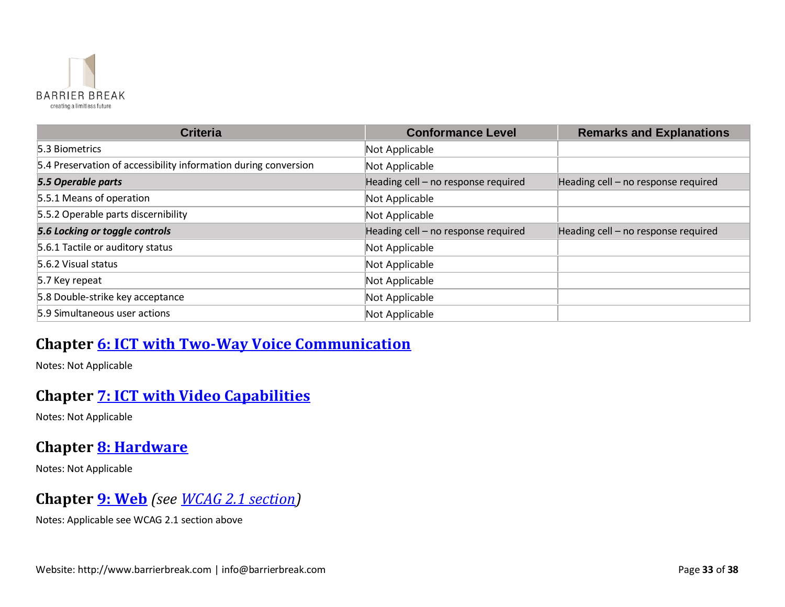

| <b>Criteria</b>                                                 | <b>Conformance Level</b>            | <b>Remarks and Explanations</b>     |
|-----------------------------------------------------------------|-------------------------------------|-------------------------------------|
| 5.3 Biometrics                                                  | Not Applicable                      |                                     |
| 5.4 Preservation of accessibility information during conversion | Not Applicable                      |                                     |
| 5.5 Operable parts                                              | Heading cell - no response required | Heading cell – no response required |
| 5.5.1 Means of operation                                        | Not Applicable                      |                                     |
| 5.5.2 Operable parts discernibility                             | Not Applicable                      |                                     |
| 5.6 Locking or toggle controls                                  | Heading cell - no response required | Heading cell - no response required |
| 5.6.1 Tactile or auditory status                                | Not Applicable                      |                                     |
| 5.6.2 Visual status                                             | Not Applicable                      |                                     |
| 5.7 Key repeat                                                  | Not Applicable                      |                                     |
| 5.8 Double-strike key acceptance                                | Not Applicable                      |                                     |
| 5.9 Simultaneous user actions                                   | Not Applicable                      |                                     |

#### **Chapter [6: ICT with Two-Way Voice Communication](https://www.etsi.org/deliver/etsi_en/301500_301599/301549/02.01.02_60/en_301549v020102p.pdf#page=27)**

Notes: Not Applicable

#### **Chapter [7: ICT with Video Capabilities](https://www.etsi.org/deliver/etsi_en/301500_301599/301549/02.01.02_60/en_301549v020102p.pdf#page=30)**

Notes: Not Applicable

#### **Chapter [8: Hardware](https://www.etsi.org/deliver/etsi_en/301500_301599/301549/02.01.02_60/en_301549v020102p.pdf#page=32)**

Notes: Not Applicable

#### **Chapter [9: Web](https://www.etsi.org/deliver/etsi_en/301500_301599/301549/02.01.02_60/en_301549v020102p.pdf#page=40)** *(see [WCAG 2.1](#page-2-1) section)*

Notes: Applicable see WCAG 2.1 section above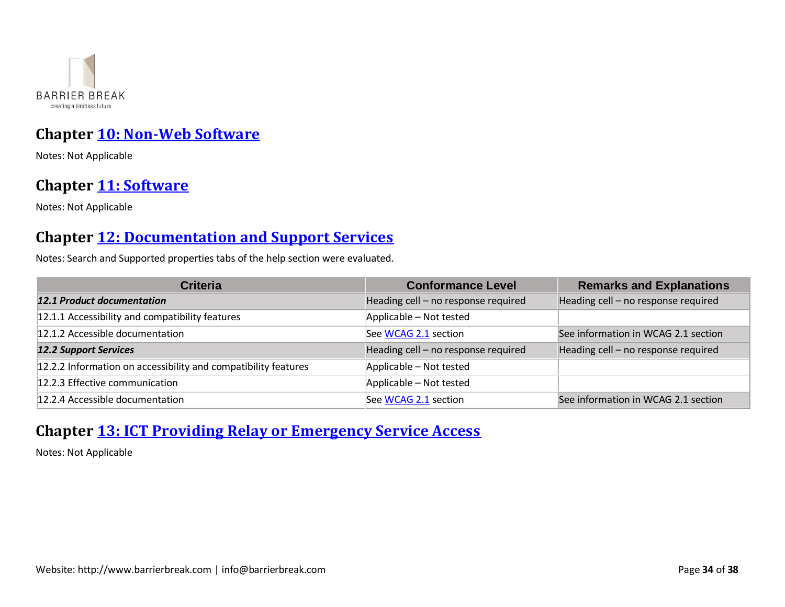

#### **Chapter [10: Non-Web Software](https://www.etsi.org/deliver/etsi_en/301500_301599/301549/02.01.02_60/en_301549v020102p.pdf#page=47)**

Notes: Not Applicable

#### **Chapter [11: Software](https://www.etsi.org/deliver/etsi_en/301500_301599/301549/02.01.02_60/en_301549v020102p.pdf#page=57)**

Notes: Not Applicable

#### **Chapter [12: Documentation and Support Services](https://www.etsi.org/deliver/etsi_en/301500_301599/301549/02.01.02_60/en_301549v020102p.pdf#page=76)**

Notes: Search and Supported properties tabs of the help section were evaluated.

| <b>Criteria</b>                                                | <b>Conformance Level</b>            | <b>Remarks and Explanations</b>     |
|----------------------------------------------------------------|-------------------------------------|-------------------------------------|
| <b>12.1 Product documentation</b>                              | Heading cell - no response required | Heading cell - no response required |
| 12.1.1 Accessibility and compatibility features                | Applicable - Not tested             |                                     |
| 12.1.2 Accessible documentation                                | See WCAG 2.1 section                | See information in WCAG 2.1 section |
| <b>12.2 Support Services</b>                                   | Heading cell - no response required | Heading cell - no response required |
| 12.2.2 Information on accessibility and compatibility features | Applicable - Not tested             |                                     |
| 12.2.3 Effective communication                                 | Applicable - Not tested             |                                     |
| 12.2.4 Accessible documentation                                | See WCAG 2.1 section                | See information in WCAG 2.1 section |

#### **Chapter [13: ICT Providing Relay or Emergency Service Access](https://www.etsi.org/deliver/etsi_en/301500_301599/301549/02.01.02_60/en_301549v020102p.pdf#page=78)**

Notes: Not Applicable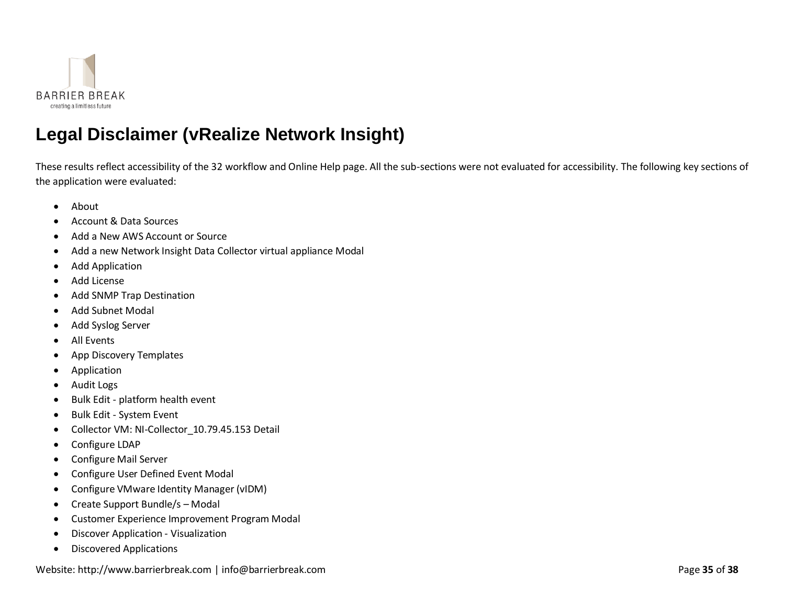

## **Legal Disclaimer (vRealize Network Insight)**

These results reflect accessibility of the 32 workflow and Online Help page. All the sub-sections were not evaluated for accessibility. The following key sections of the application were evaluated:

- About
- Account & Data Sources
- Add a New AWS Account or Source
- Add a new Network Insight Data Collector virtual appliance Modal
- Add Application
- Add License
- Add SNMP Trap Destination
- Add Subnet Modal
- Add Syslog Server
- All Events
- App Discovery Templates
- Application
- Audit Logs
- Bulk Edit platform health event
- Bulk Edit System Event
- Collector VM: NI-Collector\_10.79.45.153 Detail
- Configure LDAP
- Configure Mail Server
- Configure User Defined Event Modal
- Configure VMware Identity Manager (vIDM)
- Create Support Bundle/s Modal
- Customer Experience Improvement Program Modal
- Discover Application Visualization
- Discovered Applications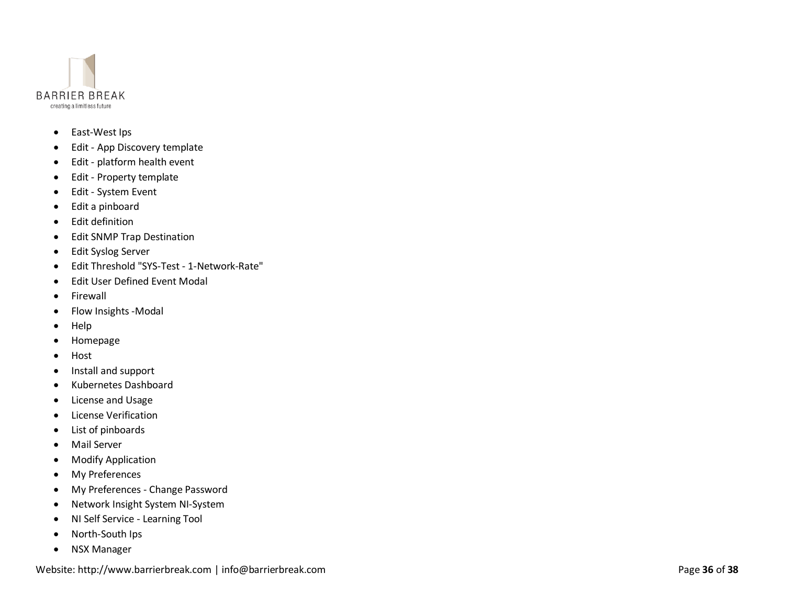

- 
- 
- 
- 
- 
- 
- 
- 
- 
- 
- 
- 
- 
- 
- 
- 
- 
- 
- 
- 
- 
- 
- 
- 
- 
- 
- 
- 
-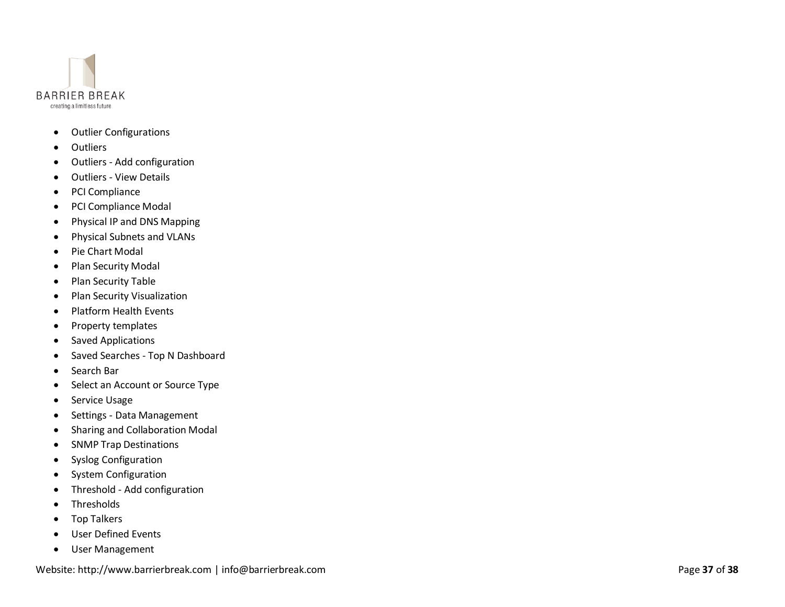

- 
- 
- 
- 
- 
- 
- 
- 
- 
- 
- 
- 
- 
- 
- 
- 
- 
- 
- 
- 
- 
- 
- 
- 
- 
- 
- 
- 
-